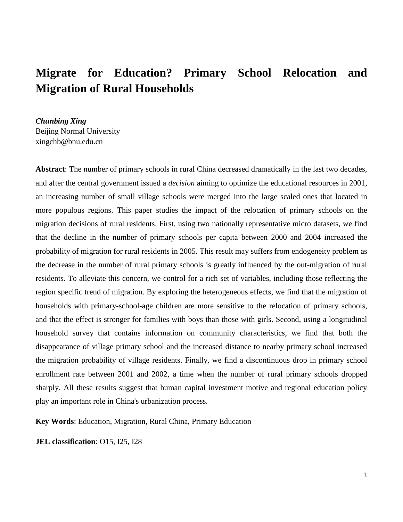# **Migrate for Education? Primary School Relocation and Migration of Rural Households**

*Chunbing Xing* Beijing Normal University xingchb@bnu.edu.cn

**Abstract**: The number of primary schools in rural China decreased dramatically in the last two decades, and after the central government issued a *decision* aiming to optimize the educational resources in 2001, an increasing number of small village schools were merged into the large scaled ones that located in more populous regions. This paper studies the impact of the relocation of primary schools on the migration decisions of rural residents. First, using two nationally representative micro datasets, we find that the decline in the number of primary schools per capita between 2000 and 2004 increased the probability of migration for rural residents in 2005. This result may suffers from endogeneity problem as the decrease in the number of rural primary schools is greatly influenced by the out-migration of rural residents. To alleviate this concern, we control for a rich set of variables, including those reflecting the region specific trend of migration. By exploring the heterogeneous effects, we find that the migration of households with primary-school-age children are more sensitive to the relocation of primary schools, and that the effect is stronger for families with boys than those with girls. Second, using a longitudinal household survey that contains information on community characteristics, we find that both the disappearance of village primary school and the increased distance to nearby primary school increased the migration probability of village residents. Finally, we find a discontinuous drop in primary school enrollment rate between 2001 and 2002, a time when the number of rural primary schools dropped sharply. All these results suggest that human capital investment motive and regional education policy play an important role in China's urbanization process.

**Key Words**: Education, Migration, Rural China, Primary Education

**JEL classification**: O15, I25, I28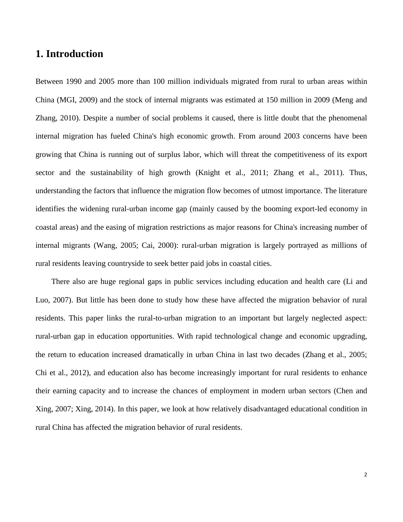### **1. Introduction**

Between 1990 and 2005 more than 100 million individuals migrated from rural to urban areas within China (MGI, 2009) and the stock of internal migrants was estimated at 150 million in 2009 (Meng and Zhang, 2010). Despite a number of social problems it caused, there is little doubt that the phenomenal internal migration has fueled China's high economic growth. From around 2003 concerns have been growing that China is running out of surplus labor, which will threat the competitiveness of its export sector and the sustainability of high growth (Knight et al., 2011; Zhang et al., 2011). Thus, understanding the factors that influence the migration flow becomes of utmost importance. The literature identifies the widening rural-urban income gap (mainly caused by the booming export-led economy in coastal areas) and the easing of migration restrictions as major reasons for China's increasing number of internal migrants (Wang, 2005; Cai, 2000): rural-urban migration is largely portrayed as millions of rural residents leaving countryside to seek better paid jobs in coastal cities.

 There also are huge regional gaps in public services including education and health care (Li and Luo, 2007). But little has been done to study how these have affected the migration behavior of rural residents. This paper links the rural-to-urban migration to an important but largely neglected aspect: rural-urban gap in education opportunities. With rapid technological change and economic upgrading, the return to education increased dramatically in urban China in last two decades (Zhang et al., 2005; Chi et al., 2012), and education also has become increasingly important for rural residents to enhance their earning capacity and to increase the chances of employment in modern urban sectors (Chen and Xing, 2007; Xing, 2014). In this paper, we look at how relatively disadvantaged educational condition in rural China has affected the migration behavior of rural residents.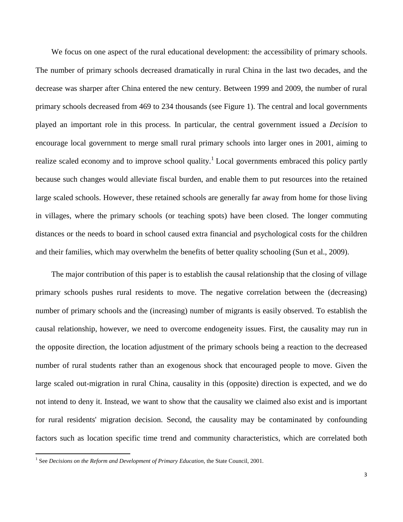We focus on one aspect of the rural educational development: the accessibility of primary schools. The number of primary schools decreased dramatically in rural China in the last two decades, and the decrease was sharper after China entered the new century. Between 1999 and 2009, the number of rural primary schools decreased from 469 to 234 thousands (see Figure 1). The central and local governments played an important role in this process. In particular, the central government issued a *Decision* to encourage local government to merge small rural primary schools into larger ones in 2001, aiming to realize scaled economy and to improve school quality.<sup>1</sup> Local governments embraced this policy partly because such changes would alleviate fiscal burden, and enable them to put resources into the retained large scaled schools. However, these retained schools are generally far away from home for those living in villages, where the primary schools (or teaching spots) have been closed. The longer commuting distances or the needs to board in school caused extra financial and psychological costs for the children and their families, which may overwhelm the benefits of better quality schooling (Sun et al., 2009).

 The major contribution of this paper is to establish the causal relationship that the closing of village primary schools pushes rural residents to move. The negative correlation between the (decreasing) number of primary schools and the (increasing) number of migrants is easily observed. To establish the causal relationship, however, we need to overcome endogeneity issues. First, the causality may run in the opposite direction, the location adjustment of the primary schools being a reaction to the decreased number of rural students rather than an exogenous shock that encouraged people to move. Given the large scaled out-migration in rural China, causality in this (opposite) direction is expected, and we do not intend to deny it. Instead, we want to show that the causality we claimed also exist and is important for rural residents' migration decision. Second, the causality may be contaminated by confounding factors such as location specific time trend and community characteristics, which are correlated both

 1 See *Decisions on the Reform and Development of Primary Education*, the State Council, 2001.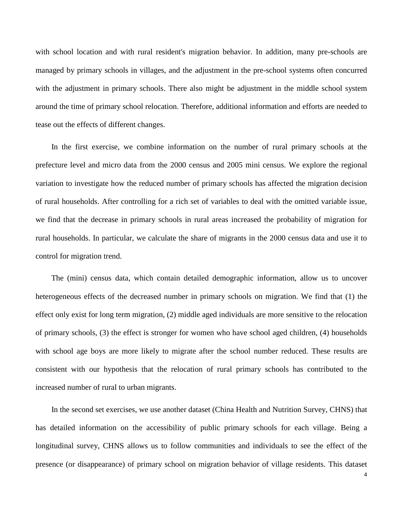with school location and with rural resident's migration behavior. In addition, many pre-schools are managed by primary schools in villages, and the adjustment in the pre-school systems often concurred with the adjustment in primary schools. There also might be adjustment in the middle school system around the time of primary school relocation. Therefore, additional information and efforts are needed to tease out the effects of different changes.

 In the first exercise, we combine information on the number of rural primary schools at the prefecture level and micro data from the 2000 census and 2005 mini census. We explore the regional variation to investigate how the reduced number of primary schools has affected the migration decision of rural households. After controlling for a rich set of variables to deal with the omitted variable issue, we find that the decrease in primary schools in rural areas increased the probability of migration for rural households. In particular, we calculate the share of migrants in the 2000 census data and use it to control for migration trend.

 The (mini) census data, which contain detailed demographic information, allow us to uncover heterogeneous effects of the decreased number in primary schools on migration. We find that (1) the effect only exist for long term migration, (2) middle aged individuals are more sensitive to the relocation of primary schools, (3) the effect is stronger for women who have school aged children, (4) households with school age boys are more likely to migrate after the school number reduced. These results are consistent with our hypothesis that the relocation of rural primary schools has contributed to the increased number of rural to urban migrants.

 In the second set exercises, we use another dataset (China Health and Nutrition Survey, CHNS) that has detailed information on the accessibility of public primary schools for each village. Being a longitudinal survey, CHNS allows us to follow communities and individuals to see the effect of the presence (or disappearance) of primary school on migration behavior of village residents. This dataset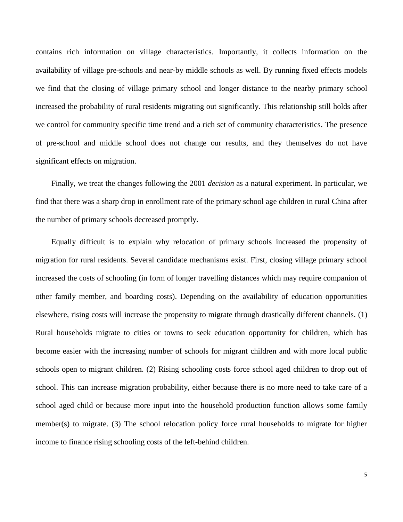contains rich information on village characteristics. Importantly, it collects information on the availability of village pre-schools and near-by middle schools as well. By running fixed effects models we find that the closing of village primary school and longer distance to the nearby primary school increased the probability of rural residents migrating out significantly. This relationship still holds after we control for community specific time trend and a rich set of community characteristics. The presence of pre-school and middle school does not change our results, and they themselves do not have significant effects on migration.

 Finally, we treat the changes following the 2001 *decision* as a natural experiment. In particular, we find that there was a sharp drop in enrollment rate of the primary school age children in rural China after the number of primary schools decreased promptly.

 Equally difficult is to explain why relocation of primary schools increased the propensity of migration for rural residents. Several candidate mechanisms exist. First, closing village primary school increased the costs of schooling (in form of longer travelling distances which may require companion of other family member, and boarding costs). Depending on the availability of education opportunities elsewhere, rising costs will increase the propensity to migrate through drastically different channels. (1) Rural households migrate to cities or towns to seek education opportunity for children, which has become easier with the increasing number of schools for migrant children and with more local public schools open to migrant children. (2) Rising schooling costs force school aged children to drop out of school. This can increase migration probability, either because there is no more need to take care of a school aged child or because more input into the household production function allows some family member(s) to migrate. (3) The school relocation policy force rural households to migrate for higher income to finance rising schooling costs of the left-behind children.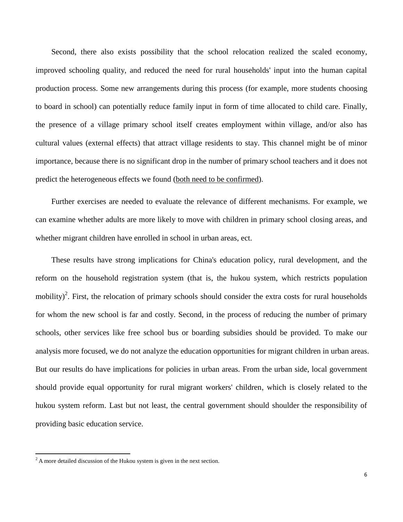Second, there also exists possibility that the school relocation realized the scaled economy, improved schooling quality, and reduced the need for rural households' input into the human capital production process. Some new arrangements during this process (for example, more students choosing to board in school) can potentially reduce family input in form of time allocated to child care. Finally, the presence of a village primary school itself creates employment within village, and/or also has cultural values (external effects) that attract village residents to stay. This channel might be of minor importance, because there is no significant drop in the number of primary school teachers and it does not predict the heterogeneous effects we found (both need to be confirmed).

 Further exercises are needed to evaluate the relevance of different mechanisms. For example, we can examine whether adults are more likely to move with children in primary school closing areas, and whether migrant children have enrolled in school in urban areas, ect.

 These results have strong implications for China's education policy, rural development, and the reform on the household registration system (that is, the hukou system, which restricts population mobility)<sup>2</sup>. First, the relocation of primary schools should consider the extra costs for rural households for whom the new school is far and costly. Second, in the process of reducing the number of primary schools, other services like free school bus or boarding subsidies should be provided. To make our analysis more focused, we do not analyze the education opportunities for migrant children in urban areas. But our results do have implications for policies in urban areas. From the urban side, local government should provide equal opportunity for rural migrant workers' children, which is closely related to the hukou system reform. Last but not least, the central government should shoulder the responsibility of providing basic education service.

 $\overline{\phantom{a}}$ 

 $2^2$  A more detailed discussion of the Hukou system is given in the next section.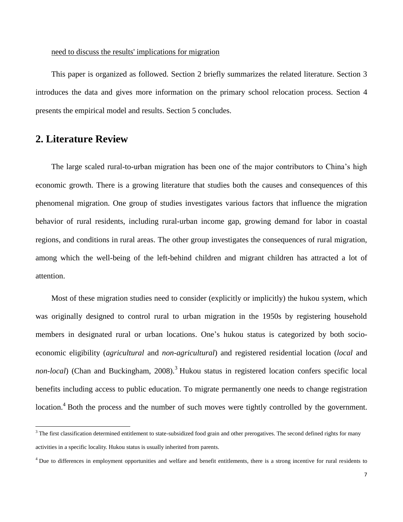#### need to discuss the results' implications for migration

 This paper is organized as followed. Section 2 briefly summarizes the related literature. Section 3 introduces the data and gives more information on the primary school relocation process. Section 4 presents the empirical model and results. Section 5 concludes.

### **2. Literature Review**

 $\overline{\phantom{a}}$ 

 The large scaled rural-to-urban migration has been one of the major contributors to China's high economic growth. There is a growing literature that studies both the causes and consequences of this phenomenal migration. One group of studies investigates various factors that influence the migration behavior of rural residents, including rural-urban income gap, growing demand for labor in coastal regions, and conditions in rural areas. The other group investigates the consequences of rural migration, among which the well-being of the left-behind children and migrant children has attracted a lot of attention.

 Most of these migration studies need to consider (explicitly or implicitly) the hukou system, which was originally designed to control rural to urban migration in the 1950s by registering household members in designated rural or urban locations. One's hukou status is categorized by both socioeconomic eligibility (*agricultural* and *non-agricultural*) and registered residential location (*local* and *non-local*) (Chan and Buckingham, 2008).<sup>3</sup> Hukou status in registered location confers specific local benefits including access to public education. To migrate permanently one needs to change registration location.<sup>4</sup> Both the process and the number of such moves were tightly controlled by the government.

 $3$  The first classification determined entitlement to state-subsidized food grain and other prerogatives. The second defined rights for many activities in a specific locality. Hukou status is usually inherited from parents.

<sup>&</sup>lt;sup>4</sup> Due to differences in employment opportunities and welfare and benefit entitlements, there is a strong incentive for rural residents to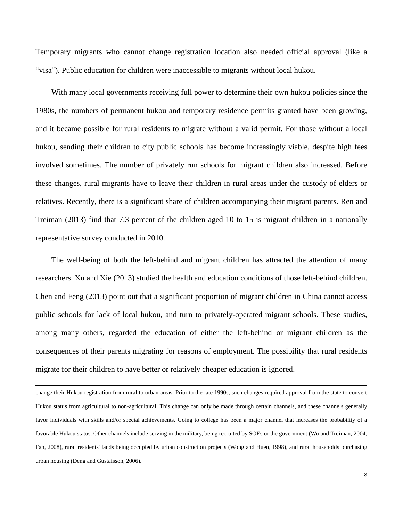Temporary migrants who cannot change registration location also needed official approval (like a "visa"). Public education for children were inaccessible to migrants without local hukou.

 With many local governments receiving full power to determine their own hukou policies since the 1980s, the numbers of permanent hukou and temporary residence permits granted have been growing, and it became possible for rural residents to migrate without a valid permit. For those without a local hukou, sending their children to city public schools has become increasingly viable, despite high fees involved sometimes. The number of privately run schools for migrant children also increased. Before these changes, rural migrants have to leave their children in rural areas under the custody of elders or relatives. Recently, there is a significant share of children accompanying their migrant parents. Ren and Treiman (2013) find that 7.3 percent of the children aged 10 to 15 is migrant children in a nationally representative survey conducted in 2010.

 The well-being of both the left-behind and migrant children has attracted the attention of many researchers. Xu and Xie (2013) studied the health and education conditions of those left-behind children. Chen and Feng (2013) point out that a significant proportion of migrant children in China cannot access public schools for lack of local hukou, and turn to privately-operated migrant schools. These studies, among many others, regarded the education of either the left-behind or migrant children as the consequences of their parents migrating for reasons of employment. The possibility that rural residents migrate for their children to have better or relatively cheaper education is ignored.

change their Hukou registration from rural to urban areas. Prior to the late 1990s, such changes required approval from the state to convert Hukou status from agricultural to non-agricultural. This change can only be made through certain channels, and these channels generally favor individuals with skills and/or special achievements. Going to college has been a major channel that increases the probability of a favorable Hukou status. Other channels include serving in the military, being recruited by SOEs or the government (Wu and Treiman, 2004; Fan, 2008), rural residents' lands being occupied by urban construction projects (Wong and Huen, 1998), and rural households purchasing urban housing (Deng and Gustafsson, 2006).

 $\overline{\phantom{a}}$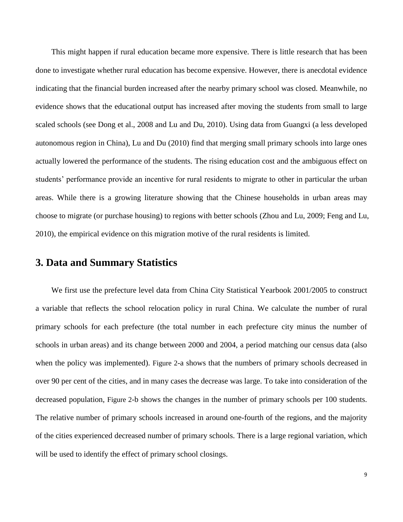This might happen if rural education became more expensive. There is little research that has been done to investigate whether rural education has become expensive. However, there is anecdotal evidence indicating that the financial burden increased after the nearby primary school was closed. Meanwhile, no evidence shows that the educational output has increased after moving the students from small to large scaled schools (see Dong et al., 2008 and Lu and Du, 2010). Using data from Guangxi (a less developed autonomous region in China), Lu and Du (2010) find that merging small primary schools into large ones actually lowered the performance of the students. The rising education cost and the ambiguous effect on students' performance provide an incentive for rural residents to migrate to other in particular the urban areas. While there is a growing literature showing that the Chinese households in urban areas may choose to migrate (or purchase housing) to regions with better schools (Zhou and Lu, 2009; Feng and Lu, 2010), the empirical evidence on this migration motive of the rural residents is limited.

### **3. Data and Summary Statistics**

 We first use the prefecture level data from China City Statistical Yearbook 2001/2005 to construct a variable that reflects the school relocation policy in rural China. We calculate the number of rural primary schools for each prefecture (the total number in each prefecture city minus the number of schools in urban areas) and its change between 2000 and 2004, a period matching our census data (also when the policy was implemented). [Figure 2](#page-26-0)-a shows that the numbers of primary schools decreased in over 90 per cent of the cities, and in many cases the decrease was large. To take into consideration of the decreased population, [Figure 2](#page-26-0)-b shows the changes in the number of primary schools per 100 students. The relative number of primary schools increased in around one-fourth of the regions, and the majority of the cities experienced decreased number of primary schools. There is a large regional variation, which will be used to identify the effect of primary school closings.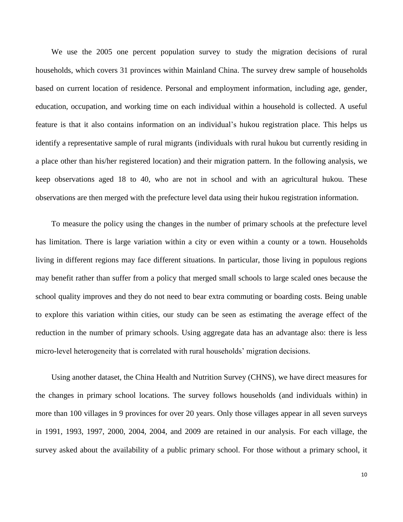We use the 2005 one percent population survey to study the migration decisions of rural households, which covers 31 provinces within Mainland China. The survey drew sample of households based on current location of residence. Personal and employment information, including age, gender, education, occupation, and working time on each individual within a household is collected. A useful feature is that it also contains information on an individual's hukou registration place. This helps us identify a representative sample of rural migrants (individuals with rural hukou but currently residing in a place other than his/her registered location) and their migration pattern. In the following analysis, we keep observations aged 18 to 40, who are not in school and with an agricultural hukou. These observations are then merged with the prefecture level data using their hukou registration information.

 To measure the policy using the changes in the number of primary schools at the prefecture level has limitation. There is large variation within a city or even within a county or a town. Households living in different regions may face different situations. In particular, those living in populous regions may benefit rather than suffer from a policy that merged small schools to large scaled ones because the school quality improves and they do not need to bear extra commuting or boarding costs. Being unable to explore this variation within cities, our study can be seen as estimating the average effect of the reduction in the number of primary schools. Using aggregate data has an advantage also: there is less micro-level heterogeneity that is correlated with rural households' migration decisions.

 Using another dataset, the China Health and Nutrition Survey (CHNS), we have direct measures for the changes in primary school locations. The survey follows households (and individuals within) in more than 100 villages in 9 provinces for over 20 years. Only those villages appear in all seven surveys in 1991, 1993, 1997, 2000, 2004, 2004, and 2009 are retained in our analysis. For each village, the survey asked about the availability of a public primary school. For those without a primary school, it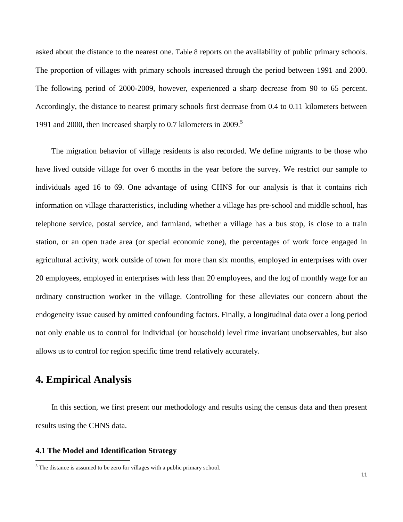asked about the distance to the nearest one. [Table 8](#page-36-0) reports on the availability of public primary schools. The proportion of villages with primary schools increased through the period between 1991 and 2000. The following period of 2000-2009, however, experienced a sharp decrease from 90 to 65 percent. Accordingly, the distance to nearest primary schools first decrease from 0.4 to 0.11 kilometers between 1991 and 2000, then increased sharply to 0.7 kilometers in 2009.<sup>5</sup>

 The migration behavior of village residents is also recorded. We define migrants to be those who have lived outside village for over 6 months in the year before the survey. We restrict our sample to individuals aged 16 to 69. One advantage of using CHNS for our analysis is that it contains rich information on village characteristics, including whether a village has pre-school and middle school, has telephone service, postal service, and farmland, whether a village has a bus stop, is close to a train station, or an open trade area (or special economic zone), the percentages of work force engaged in agricultural activity, work outside of town for more than six months, employed in enterprises with over 20 employees, employed in enterprises with less than 20 employees, and the log of monthly wage for an ordinary construction worker in the village. Controlling for these alleviates our concern about the endogeneity issue caused by omitted confounding factors. Finally, a longitudinal data over a long period not only enable us to control for individual (or household) level time invariant unobservables, but also allows us to control for region specific time trend relatively accurately.

## **4. Empirical Analysis**

 $\overline{\phantom{a}}$ 

 In this section, we first present our methodology and results using the census data and then present results using the CHNS data.

#### **4.1 The Model and Identification Strategy**

<sup>&</sup>lt;sup>5</sup> The distance is assumed to be zero for villages with a public primary school.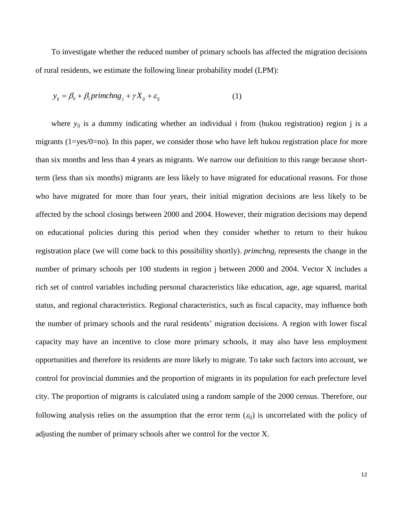To investigate whether the reduced number of primary schools has affected the migration decisions of rural residents, we estimate the following linear probability model (LPM):

$$
y_{ij} = \beta_0 + \beta_1 \text{primchange}_j + \gamma X_{ij} + \varepsilon_{ij}
$$
 (1)

where  $y_{ii}$  is a dummy indicating whether an individual i from (hukou registration) region j is a migrants ( $1 = yes/O = no$ ). In this paper, we consider those who have left hukou registration place for more than six months and less than 4 years as migrants. We narrow our definition to this range because shortterm (less than six months) migrants are less likely to have migrated for educational reasons. For those who have migrated for more than four years, their initial migration decisions are less likely to be affected by the school closings between 2000 and 2004. However, their migration decisions may depend on educational policies during this period when they consider whether to return to their hukou registration place (we will come back to this possibility shortly). *primchng<sup>j</sup>* represents the change in the number of primary schools per 100 students in region j between 2000 and 2004. Vector X includes a rich set of control variables including personal characteristics like education, age, age squared, marital status, and regional characteristics. Regional characteristics, such as fiscal capacity, may influence both the number of primary schools and the rural residents' migration decisions. A region with lower fiscal capacity may have an incentive to close more primary schools, it may also have less employment opportunities and therefore its residents are more likely to migrate. To take such factors into account, we control for provincial dummies and the proportion of migrants in its population for each prefecture level city. The proportion of migrants is calculated using a random sample of the 2000 census. Therefore, our following analysis relies on the assumption that the error term  $(\varepsilon_{ii})$  is uncorrelated with the policy of adjusting the number of primary schools after we control for the vector X.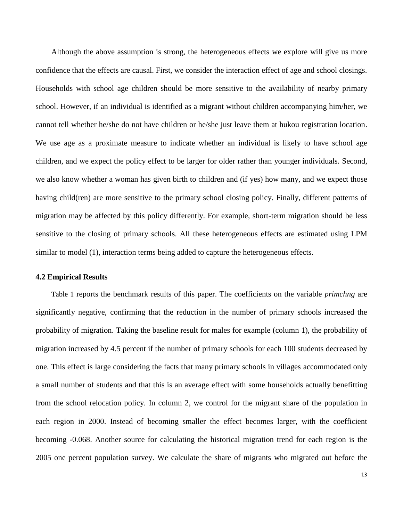Although the above assumption is strong, the heterogeneous effects we explore will give us more confidence that the effects are causal. First, we consider the interaction effect of age and school closings. Households with school age children should be more sensitive to the availability of nearby primary school. However, if an individual is identified as a migrant without children accompanying him/her, we cannot tell whether he/she do not have children or he/she just leave them at hukou registration location. We use age as a proximate measure to indicate whether an individual is likely to have school age children, and we expect the policy effect to be larger for older rather than younger individuals. Second, we also know whether a woman has given birth to children and (if yes) how many, and we expect those having child(ren) are more sensitive to the primary school closing policy. Finally, different patterns of migration may be affected by this policy differently. For example, short-term migration should be less sensitive to the closing of primary schools. All these heterogeneous effects are estimated using LPM similar to model (1), interaction terms being added to capture the heterogeneous effects.

#### **4.2 Empirical Results**

 [Table 1](#page-30-0) reports the benchmark results of this paper. The coefficients on the variable *primchng* are significantly negative, confirming that the reduction in the number of primary schools increased the probability of migration. Taking the baseline result for males for example (column 1), the probability of migration increased by 4.5 percent if the number of primary schools for each 100 students decreased by one. This effect is large considering the facts that many primary schools in villages accommodated only a small number of students and that this is an average effect with some households actually benefitting from the school relocation policy. In column 2, we control for the migrant share of the population in each region in 2000. Instead of becoming smaller the effect becomes larger, with the coefficient becoming -0.068. Another source for calculating the historical migration trend for each region is the 2005 one percent population survey. We calculate the share of migrants who migrated out before the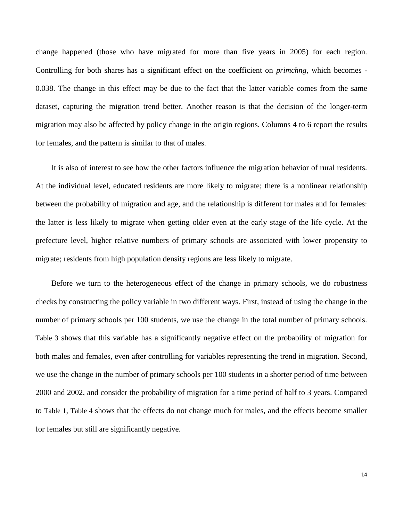change happened (those who have migrated for more than five years in 2005) for each region. Controlling for both shares has a significant effect on the coefficient on *primchng*, which becomes - 0.038. The change in this effect may be due to the fact that the latter variable comes from the same dataset, capturing the migration trend better. Another reason is that the decision of the longer-term migration may also be affected by policy change in the origin regions. Columns 4 to 6 report the results for females, and the pattern is similar to that of males.

 It is also of interest to see how the other factors influence the migration behavior of rural residents. At the individual level, educated residents are more likely to migrate; there is a nonlinear relationship between the probability of migration and age, and the relationship is different for males and for females: the latter is less likely to migrate when getting older even at the early stage of the life cycle. At the prefecture level, higher relative numbers of primary schools are associated with lower propensity to migrate; residents from high population density regions are less likely to migrate.

 Before we turn to the heterogeneous effect of the change in primary schools, we do robustness checks by constructing the policy variable in two different ways. First, instead of using the change in the number of primary schools per 100 students, we use the change in the total number of primary schools. [Table 3](#page-32-0) shows that this variable has a significantly negative effect on the probability of migration for both males and females, even after controlling for variables representing the trend in migration. Second, we use the change in the number of primary schools per 100 students in a shorter period of time between 2000 and 2002, and consider the probability of migration for a time period of half to 3 years. Compared to [Table 1](#page-30-0), [Table 4](#page-33-0) shows that the effects do not change much for males, and the effects become smaller for females but still are significantly negative.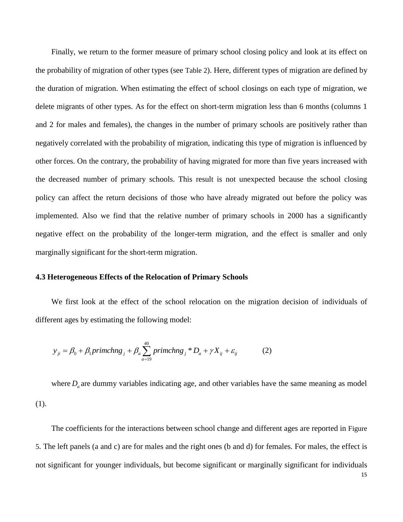Finally, we return to the former measure of primary school closing policy and look at its effect on the probability of migration of other types (see [Table 2](#page-31-0)). Here, different types of migration are defined by the duration of migration. When estimating the effect of school closings on each type of migration, we delete migrants of other types. As for the effect on short-term migration less than 6 months (columns 1 and 2 for males and females), the changes in the number of primary schools are positively rather than negatively correlated with the probability of migration, indicating this type of migration is influenced by other forces. On the contrary, the probability of having migrated for more than five years increased with the decreased number of primary schools. This result is not unexpected because the school closing policy can affect the return decisions of those who have already migrated out before the policy was implemented. Also we find that the relative number of primary schools in 2000 has a significantly negative effect on the probability of the longer-term migration, and the effect is smaller and only marginally significant for the short-term migration.

#### **4.3 Heterogeneous Effects of the Relocation of Primary Schools**

 We first look at the effect of the school relocation on the migration decision of individuals of different ages by estimating the following model:

$$
y_{ji} = \beta_0 + \beta_1 \text{primchng}_j + \beta_a \sum_{a=19}^{40} \text{primchng}_j * D_a + \gamma X_{ij} + \varepsilon_{ij}
$$
 (2)

where  $D_a$  are dummy variables indicating age, and other variables have the same meaning as model (1).

 The coefficients for the interactions between school change and different ages are reported in [Figure](#page-28-0)  [5](#page-28-0). The left panels (a and c) are for males and the right ones (b and d) for females. For males, the effect is not significant for younger individuals, but become significant or marginally significant for individuals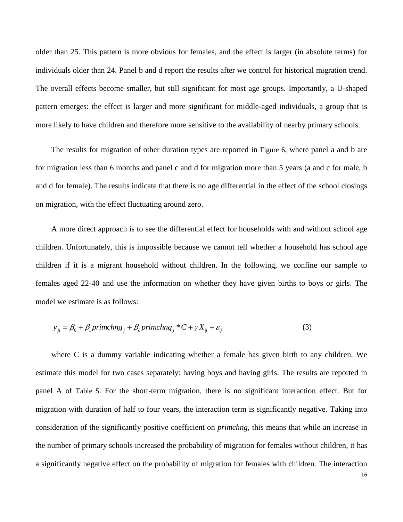older than 25. This pattern is more obvious for females, and the effect is larger (in absolute terms) for individuals older than 24. Panel b and d report the results after we control for historical migration trend. The overall effects become smaller, but still significant for most age groups. Importantly, a U-shaped pattern emerges: the effect is larger and more significant for middle-aged individuals, a group that is more likely to have children and therefore more sensitive to the availability of nearby primary schools.

 The results for migration of other duration types are reported in [Figure 6](#page-29-0), where panel a and b are for migration less than 6 months and panel c and d for migration more than 5 years (a and c for male, b and d for female). The results indicate that there is no age differential in the effect of the school closings on migration, with the effect fluctuating around zero.

 A more direct approach is to see the differential effect for households with and without school age children. Unfortunately, this is impossible because we cannot tell whether a household has school age children if it is a migrant household without children. In the following, we confine our sample to females aged 22-40 and use the information on whether they have given births to boys or girls. The model we estimate is as follows:

$$
y_{ji} = \beta_0 + \beta_1 \text{primchng}_j + \beta_c \text{primchng}_j * C + \gamma X_{ij} + \varepsilon_{ij}
$$
\n(3)

 where C is a dummy variable indicating whether a female has given birth to any children. We estimate this model for two cases separately: having boys and having girls. The results are reported in panel A of [Table 5](#page-34-0). For the short-term migration, there is no significant interaction effect. But for migration with duration of half to four years, the interaction term is significantly negative. Taking into consideration of the significantly positive coefficient on *primchng*, this means that while an increase in the number of primary schools increased the probability of migration for females without children, it has a significantly negative effect on the probability of migration for females with children. The interaction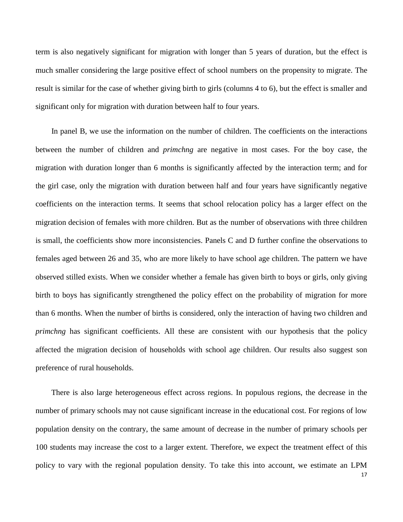term is also negatively significant for migration with longer than 5 years of duration, but the effect is much smaller considering the large positive effect of school numbers on the propensity to migrate. The result is similar for the case of whether giving birth to girls (columns 4 to 6), but the effect is smaller and significant only for migration with duration between half to four years.

 In panel B, we use the information on the number of children. The coefficients on the interactions between the number of children and *primchng* are negative in most cases. For the boy case, the migration with duration longer than 6 months is significantly affected by the interaction term; and for the girl case, only the migration with duration between half and four years have significantly negative coefficients on the interaction terms. It seems that school relocation policy has a larger effect on the migration decision of females with more children. But as the number of observations with three children is small, the coefficients show more inconsistencies. Panels C and D further confine the observations to females aged between 26 and 35, who are more likely to have school age children. The pattern we have observed stilled exists. When we consider whether a female has given birth to boys or girls, only giving birth to boys has significantly strengthened the policy effect on the probability of migration for more than 6 months. When the number of births is considered, only the interaction of having two children and *primchng* has significant coefficients. All these are consistent with our hypothesis that the policy affected the migration decision of households with school age children. Our results also suggest son preference of rural households.

 There is also large heterogeneous effect across regions. In populous regions, the decrease in the number of primary schools may not cause significant increase in the educational cost. For regions of low population density on the contrary, the same amount of decrease in the number of primary schools per 100 students may increase the cost to a larger extent. Therefore, we expect the treatment effect of this policy to vary with the regional population density. To take this into account, we estimate an LPM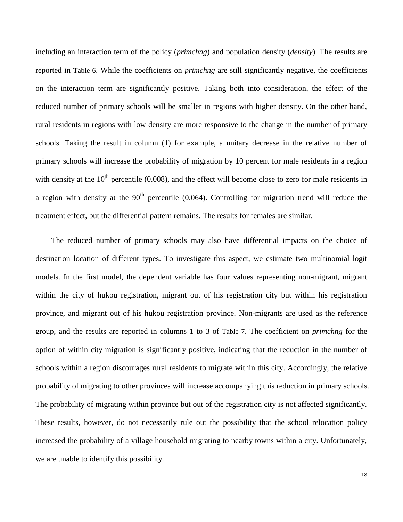including an interaction term of the policy (*primchng*) and population density (*density*). The results are reported in [Table 6](#page-35-0). While the coefficients on *primchng* are still significantly negative, the coefficients on the interaction term are significantly positive. Taking both into consideration, the effect of the reduced number of primary schools will be smaller in regions with higher density. On the other hand, rural residents in regions with low density are more responsive to the change in the number of primary schools. Taking the result in column (1) for example, a unitary decrease in the relative number of primary schools will increase the probability of migration by 10 percent for male residents in a region with density at the  $10<sup>th</sup>$  percentile (0.008), and the effect will become close to zero for male residents in a region with density at the  $90<sup>th</sup>$  percentile (0.064). Controlling for migration trend will reduce the treatment effect, but the differential pattern remains. The results for females are similar.

 The reduced number of primary schools may also have differential impacts on the choice of destination location of different types. To investigate this aspect, we estimate two multinomial logit models. In the first model, the dependent variable has four values representing non-migrant, migrant within the city of hukou registration, migrant out of his registration city but within his registration province, and migrant out of his hukou registration province. Non-migrants are used as the reference group, and the results are reported in columns 1 to 3 of [Table 7](#page-36-1). The coefficient on *primchng* for the option of within city migration is significantly positive, indicating that the reduction in the number of schools within a region discourages rural residents to migrate within this city. Accordingly, the relative probability of migrating to other provinces will increase accompanying this reduction in primary schools. The probability of migrating within province but out of the registration city is not affected significantly. These results, however, do not necessarily rule out the possibility that the school relocation policy increased the probability of a village household migrating to nearby towns within a city. Unfortunately, we are unable to identify this possibility.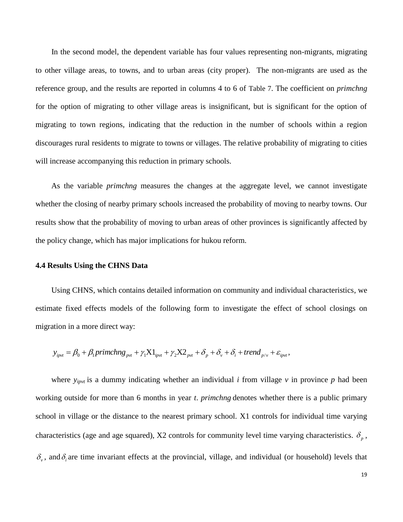In the second model, the dependent variable has four values representing non-migrants, migrating to other village areas, to towns, and to urban areas (city proper). The non-migrants are used as the reference group, and the results are reported in columns 4 to 6 of [Table 7](#page-36-1). The coefficient on *primchng* for the option of migrating to other village areas is insignificant, but is significant for the option of migrating to town regions, indicating that the reduction in the number of schools within a region discourages rural residents to migrate to towns or villages. The relative probability of migrating to cities will increase accompanying this reduction in primary schools.

 As the variable *primchng* measures the changes at the aggregate level, we cannot investigate whether the closing of nearby primary schools increased the probability of moving to nearby towns. Our results show that the probability of moving to urban areas of other provinces is significantly affected by the policy change, which has major implications for hukou reform.

#### **4.4 Results Using the CHNS Data**

 Using CHNS, which contains detailed information on community and individual characteristics, we estimate fixed effects models of the following form to investigate the effect of school closings on migration in a more direct way: tion in a more direct way:<br>  $y_{\text{ipvt}} = \beta_0 + \beta_1 \text{primchng}_{\text{pvt}} + \gamma_1 \text{XI}_{\text{ipvt}} + \gamma_2 \text{X2}_{\text{pvt}} + \delta_p + \delta_v + \delta_i + \text{trend}_{p/v} + \varepsilon_{\text{ipvt}}$ ,

$$
y_{\text{invt}} = \beta_0 + \beta_1 \text{primchng}_{\text{pvt}} + \gamma_1 X 1_{\text{invt}} + \gamma_2 X 2_{\text{pvt}} + \delta_p + \delta_v + \delta_i + \text{trend}_{\text{pvt}} + \varepsilon_{\text{invt}},
$$

where  $y_{ipvt}$  is a dummy indicating whether an individual *i* from village  $v$  in province  $p$  had been working outside for more than 6 months in year *t*. *primchng* denotes whether there is a public primary school in village or the distance to the nearest primary school. X1 controls for individual time varying characteristics (age and age squared), X2 controls for community level time varying characteristics.  $\delta_p$ ,  $\delta_{\nu}$ , and  $\delta_{i}$  are time invariant effects at the provincial, village, and individual (or household) levels that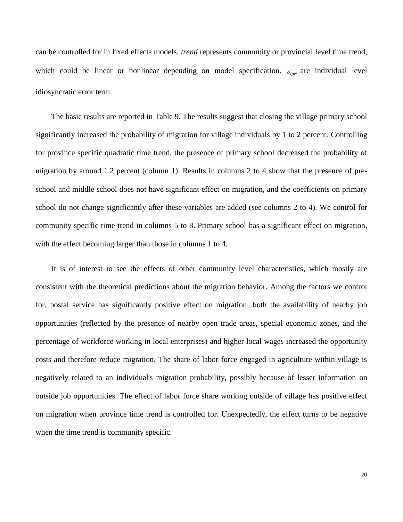can be controlled for in fixed effects models. *trend* represents community or provincial level time trend, which could be linear or nonlinear depending on model specification.  $\varepsilon_{i\text{pvt}}$  are individual level idiosyncratic error term.

 The basic results are reported in [Table 9.](#page-37-0) The results suggest that closing the village primary school significantly increased the probability of migration for village individuals by 1 to 2 percent. Controlling for province specific quadratic time trend, the presence of primary school decreased the probability of migration by around 1.2 percent (column 1). Results in columns 2 to 4 show that the presence of preschool and middle school does not have significant effect on migration, and the coefficients on primary school do not change significantly after these variables are added (see columns 2 to 4). We control for community specific time trend in columns 5 to 8. Primary school has a significant effect on migration, with the effect becoming larger than those in columns 1 to 4.

 It is of interest to see the effects of other community level characteristics, which mostly are consistent with the theoretical predictions about the migration behavior. Among the factors we control for, postal service has significantly positive effect on migration; both the availability of nearby job opportunities (reflected by the presence of nearby open trade areas, special economic zones, and the percentage of workforce working in local enterprises) and higher local wages increased the opportunity costs and therefore reduce migration. The share of labor force engaged in agriculture within village is negatively related to an individual's migration probability, possibly because of lesser information on outside job opportunities. The effect of labor force share working outside of village has positive effect on migration when province time trend is controlled for. Unexpectedly, the effect turns to be negative when the time trend is community specific.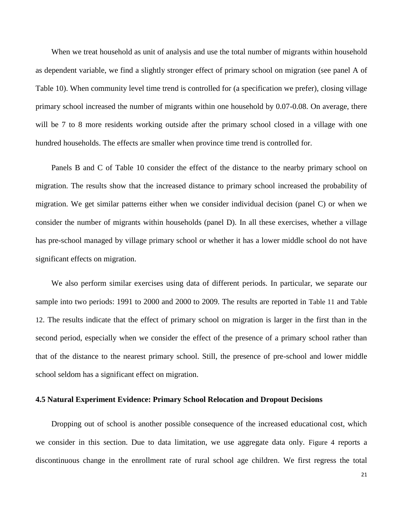When we treat household as unit of analysis and use the total number of migrants within household as dependent variable, we find a slightly stronger effect of primary school on migration (see panel A of [Table 10\)](#page-38-0). When community level time trend is controlled for (a specification we prefer), closing village primary school increased the number of migrants within one household by 0.07-0.08. On average, there will be 7 to 8 more residents working outside after the primary school closed in a village with one hundred households. The effects are smaller when province time trend is controlled for.

Panels B and C of [Table 10](#page-38-0) consider the effect of the distance to the nearby primary school on migration. The results show that the increased distance to primary school increased the probability of migration. We get similar patterns either when we consider individual decision (panel C) or when we consider the number of migrants within households (panel D). In all these exercises, whether a village has pre-school managed by village primary school or whether it has a lower middle school do not have significant effects on migration.

 We also perform similar exercises using data of different periods. In particular, we separate our sample into two periods: 1991 to 2000 and 2000 to 2009. The results are reported in [Table 11](#page-39-0) and [Table](#page-40-0)  [12](#page-40-0). The results indicate that the effect of primary school on migration is larger in the first than in the second period, especially when we consider the effect of the presence of a primary school rather than that of the distance to the nearest primary school. Still, the presence of pre-school and lower middle school seldom has a significant effect on migration.

#### **4.5 Natural Experiment Evidence: Primary School Relocation and Dropout Decisions**

 Dropping out of school is another possible consequence of the increased educational cost, which we consider in this section. Due to data limitation, we use aggregate data only. [Figure 4](#page-28-1) reports a discontinuous change in the enrollment rate of rural school age children. We first regress the total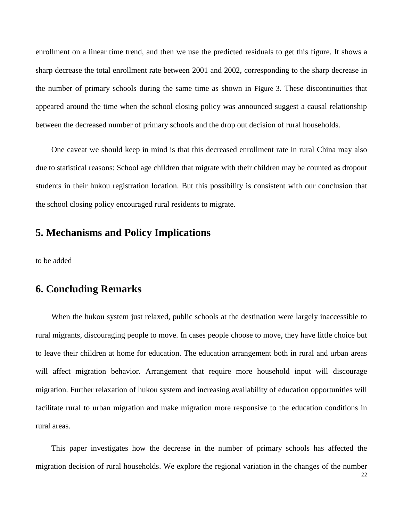enrollment on a linear time trend, and then we use the predicted residuals to get this figure. It shows a sharp decrease the total enrollment rate between 2001 and 2002, corresponding to the sharp decrease in the number of primary schools during the same time as shown in [Figure 3](#page-27-0). These discontinuities that appeared around the time when the school closing policy was announced suggest a causal relationship between the decreased number of primary schools and the drop out decision of rural households.

 One caveat we should keep in mind is that this decreased enrollment rate in rural China may also due to statistical reasons: School age children that migrate with their children may be counted as dropout students in their hukou registration location. But this possibility is consistent with our conclusion that the school closing policy encouraged rural residents to migrate.

### **5. Mechanisms and Policy Implications**

to be added

### **6. Concluding Remarks**

 When the hukou system just relaxed, public schools at the destination were largely inaccessible to rural migrants, discouraging people to move. In cases people choose to move, they have little choice but to leave their children at home for education. The education arrangement both in rural and urban areas will affect migration behavior. Arrangement that require more household input will discourage migration. Further relaxation of hukou system and increasing availability of education opportunities will facilitate rural to urban migration and make migration more responsive to the education conditions in rural areas.

 This paper investigates how the decrease in the number of primary schools has affected the migration decision of rural households. We explore the regional variation in the changes of the number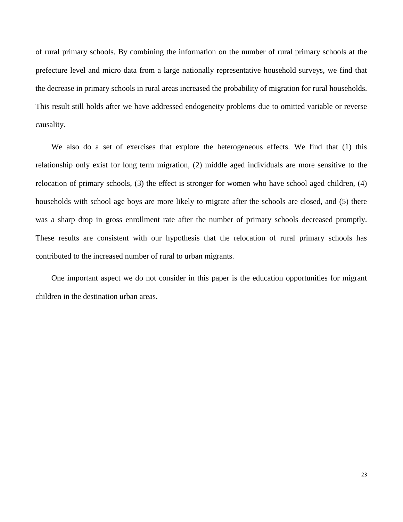of rural primary schools. By combining the information on the number of rural primary schools at the prefecture level and micro data from a large nationally representative household surveys, we find that the decrease in primary schools in rural areas increased the probability of migration for rural households. This result still holds after we have addressed endogeneity problems due to omitted variable or reverse causality.

We also do a set of exercises that explore the heterogeneous effects. We find that (1) this relationship only exist for long term migration, (2) middle aged individuals are more sensitive to the relocation of primary schools, (3) the effect is stronger for women who have school aged children, (4) households with school age boys are more likely to migrate after the schools are closed, and (5) there was a sharp drop in gross enrollment rate after the number of primary schools decreased promptly. These results are consistent with our hypothesis that the relocation of rural primary schools has contributed to the increased number of rural to urban migrants.

 One important aspect we do not consider in this paper is the education opportunities for migrant children in the destination urban areas.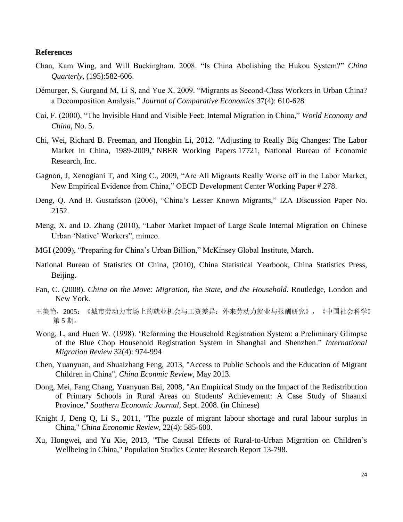#### **References**

- Chan, Kam Wing, and Will Buckingham. 2008. "Is China Abolishing the Hukou System?" *China Quarterly*, (195):582-606.
- Démurger, S, Gurgand M, Li S, and Yue X. 2009. "Migrants as Second-Class Workers in Urban China? a Decomposition Analysis." *Journal of Comparative Economics* 37(4): 610-628
- Cai, F. (2000), "The Invisible Hand and Visible Feet: Internal Migration in China," *World Economy and China*, No. 5.
- Chi, Wei, Richard B. Freeman, and Hongbin Li, 2012. "Adjusting to Really Big Changes: The Labor Market in China, 1989-2009," NBER Working Papers 17721, National Bureau of Economic Research, Inc.
- Gagnon, J, Xenogiani T, and Xing C., 2009, "Are All Migrants Really Worse off in the Labor Market, New Empirical Evidence from China," OECD Development Center Working Paper # 278.
- Deng, Q. And B. Gustafsson (2006), "China's Lesser Known Migrants," IZA Discussion Paper No. 2152.
- Meng, X. and D. Zhang (2010), "Labor Market Impact of Large Scale Internal Migration on Chinese Urban 'Native' Workers", mimeo.
- MGI (2009), "Preparing for China's Urban Billion," McKinsey Global Institute, March.
- National Bureau of Statistics Of China, (2010), China Statistical Yearbook, China Statistics Press, Beijing.
- Fan, C. (2008). *China on the Move: Migration, the State, and the Household*. Routledge, London and New York.
- 王美艳,2005:《城市劳动力市场上的就业机会与工资差异:外来劳动力就业与报酬研究》,《中国社会科学》 第 5 期。
- Wong, L, and Huen W. (1998). 'Reforming the Household Registration System: a Preliminary Glimpse of the Blue Chop Household Registration System in Shanghai and Shenzhen." *International Migration Review* 32(4): 974-994
- Chen, Yuanyuan, and Shuaizhang Feng, 2013, "Access to Public Schools and the Education of Migrant Children in China", *China Econmic Review*, May 2013.
- Dong, Mei, Fang Chang, Yuanyuan Bai, 2008, "An Empirical Study on the Impact of the Redistribution of Primary Schools in Rural Areas on Students' Achievement: A Case Study of Shaanxi Province," *Southern Economic Journal*, Sept. 2008. (in Chinese)
- Knight J, Deng Q, Li S., 2011, "The puzzle of migrant labour shortage and rural labour surplus in China," *China Economic Review*, 22(4): 585-600.
- Xu, Hongwei, and Yu Xie, 2013, "The Causal Effects of Rural-to-Urban Migration on Children's Wellbeing in China," Population Studies Center Research Report 13-798.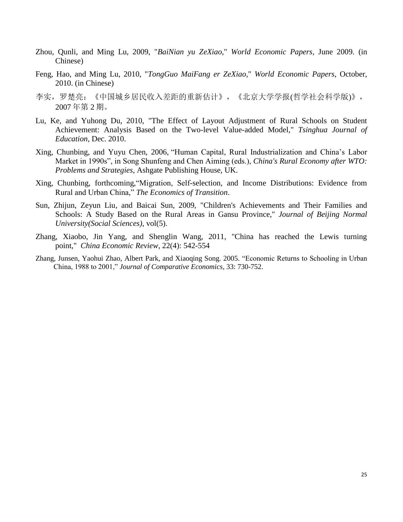- Zhou, Qunli, and Ming Lu, 2009, "*BaiNian yu ZeXiao*," *World Economic Papers*, June 2009. (in Chinese)
- Feng, Hao, and Ming Lu, 2010, "*TongGuo MaiFang er ZeXiao*," *World Economic Papers*, October, 2010. (in Chinese)
- 李实,罗楚亮:《中国城乡居民收入差距的重新估计》,《北京大学学报(哲学社会科学版)》, 2007 年第 2 期。
- Lu, Ke, and Yuhong Du, 2010, "The Effect of Layout Adjustment of Rural Schools on Student Achievement: Analysis Based on the Two-level Value-added Model," *Tsinghua Journal of Education*, Dec. 2010.
- Xing, Chunbing, and Yuyu Chen, 2006, "Human Capital, Rural Industrialization and China's Labor Market in 1990s", in Song Shunfeng and Chen Aiming (eds.), *China's Rural Economy after WTO: Problems and Strategies*, Ashgate Publishing House, UK.
- Xing, Chunbing, forthcoming,"Migration, Self-selection, and Income Distributions: Evidence from Rural and Urban China," *The Economics of Transition*.
- Sun, Zhijun, Zeyun Liu, and Baicai Sun, 2009, "Children's Achievements and Their Families and Schools: A Study Based on the Rural Areas in Gansu Province," *Journal of Beijing Normal University(Social Sciences)*, vol(5).
- Zhang, Xiaobo, Jin Yang, and Shenglin Wang, 2011, "China has reached the Lewis turning point," *China Economic Review*, 22(4): 542-554
- Zhang, Junsen, Yaohui Zhao, Albert Park, and Xiaoqing Song. 2005. "Economic Returns to Schooling in Urban China, 1988 to 2001," *Journal of Comparative Economics*, 33: 730-752.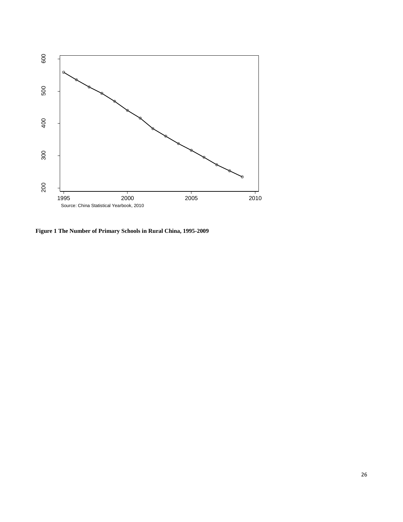

**Figure 1 The Number of Primary Schools in Rural China, 1995-2009**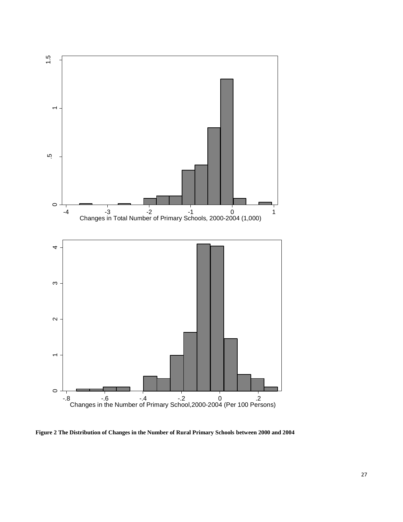

<span id="page-26-0"></span>**Figure 2 The Distribution of Changes in the Number of Rural Primary Schools between 2000 and 2004**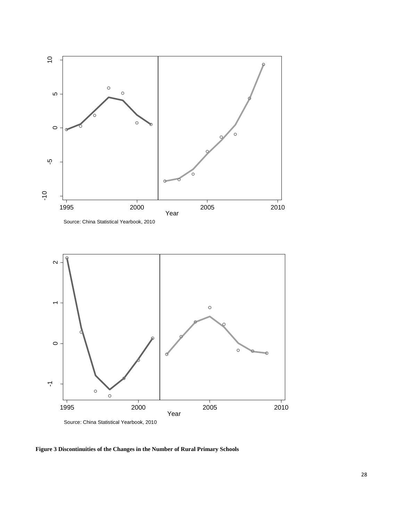

<span id="page-27-0"></span>**Figure 3 Discontinuities of the Changes in the Number of Rural Primary Schools**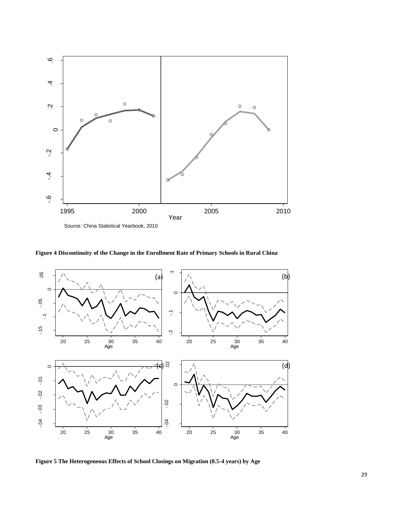

<span id="page-28-1"></span>**Figure 4 Discontinuity of the Change in the Enrollment Rate of Primary Schools in Rural China**



<span id="page-28-0"></span>**Figure 5 The Heterogeneous Effects of School Closings on Migration (0.5-4 years) by Age**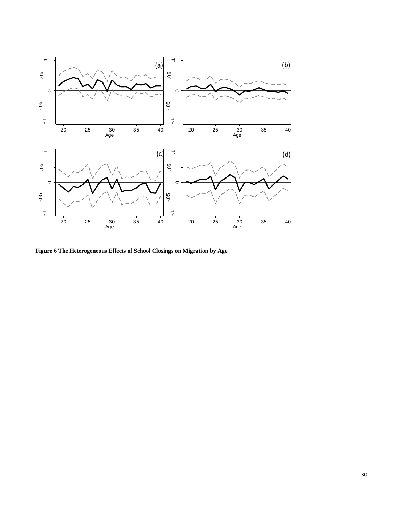

<span id="page-29-0"></span>**Figure 6 The Heterogeneous Effects of School Closings on Migration by Age**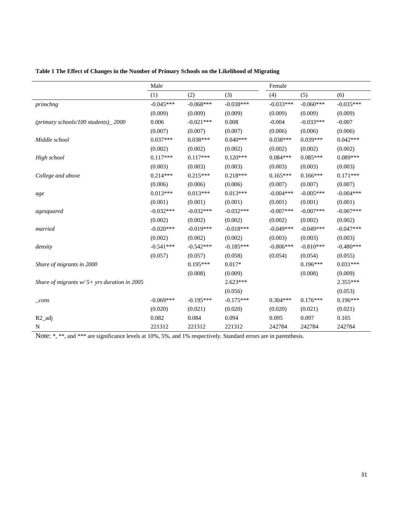|                                                | Male        |             |             | Female      |             |             |  |
|------------------------------------------------|-------------|-------------|-------------|-------------|-------------|-------------|--|
|                                                | (1)         | (2)         | (3)         | (4)         | (5)         | (6)         |  |
| primchng                                       | $-0.045***$ | $-0.068***$ | $-0.038***$ | $-0.033***$ | $-0.060***$ | $-0.035***$ |  |
|                                                | (0.009)     | (0.009)     | (0.009)     | (0.009)     | (0.009)     | (0.009)     |  |
| (primary schools/100 students)_2000            | 0.006       | $-0.021***$ | 0.008       | $-0.004$    | $-0.033***$ | $-0.007$    |  |
|                                                | (0.007)     | (0.007)     | (0.007)     | (0.006)     | (0.006)     | (0.006)     |  |
| Middle school                                  | $0.037***$  | $0.038***$  | $0.040***$  | $0.038***$  | $0.039***$  | $0.042***$  |  |
|                                                | (0.002)     | (0.002)     | (0.002)     | (0.002)     | (0.002)     | (0.002)     |  |
| High school                                    | $0.117***$  | $0.117***$  | $0.120***$  | $0.084***$  | $0.085***$  | $0.089***$  |  |
|                                                | (0.003)     | (0.003)     | (0.003)     | (0.003)     | (0.003)     | (0.003)     |  |
| College and above                              | $0.214***$  | $0.215***$  | $0.218***$  | $0.165***$  | $0.166***$  | $0.171***$  |  |
|                                                | (0.006)     | (0.006)     | (0.006)     | (0.007)     | (0.007)     | (0.007)     |  |
| age                                            | $0.013***$  | $0.013***$  | $0.013***$  | $-0.004***$ | $-0.005***$ | $-0.004***$ |  |
|                                                | (0.001)     | (0.001)     | (0.001)     | (0.001)     | (0.001)     | (0.001)     |  |
| agesquared                                     | $-0.032***$ | $-0.032***$ | $-0.032***$ | $-0.007***$ | $-0.007***$ | $-0.007***$ |  |
|                                                | (0.002)     | (0.002)     | (0.002)     | (0.002)     | (0.002)     | (0.002)     |  |
| married                                        | $-0.020***$ | $-0.019***$ | $-0.018***$ | $-0.049***$ | $-0.049***$ | $-0.047***$ |  |
|                                                | (0.002)     | (0.002)     | (0.002)     | (0.003)     | (0.003)     | (0.003)     |  |
| density                                        | $-0.541***$ | $-0.542***$ | $-0.185***$ | $-0.806***$ | $-0.810***$ | $-0.480***$ |  |
|                                                | (0.057)     | (0.057)     | (0.058)     | (0.054)     | (0.054)     | (0.055)     |  |
| Share of migrants in 2000                      |             | $0.195***$  | $0.017*$    |             | $0.196***$  | $0.031***$  |  |
|                                                |             | (0.008)     | (0.009)     |             | (0.008)     | (0.009)     |  |
| Share of migrants $w/5$ + yrs duration in 2005 |             |             | $2.623***$  |             |             | 2.355***    |  |
|                                                |             |             | (0.056)     |             |             | (0.053)     |  |
| $_{cons}$                                      | $-0.069***$ | $-0.195***$ | $-0.175***$ | $0.304***$  | $0.176***$  | $0.196***$  |  |
|                                                | (0.020)     | (0.021)     | (0.020)     | (0.020)     | (0.021)     | (0.021)     |  |
| $R2$ _adj                                      | 0.082       | 0.084       | 0.094       | 0.095       | 0.097       | 0.105       |  |
| N                                              | 221312      | 221312      | 221312      | 242784      | 242784      | 242784      |  |

### <span id="page-30-0"></span>**Table 1 The Effect of Changes in the Number of Primary Schools on the Likelihood of Migrating**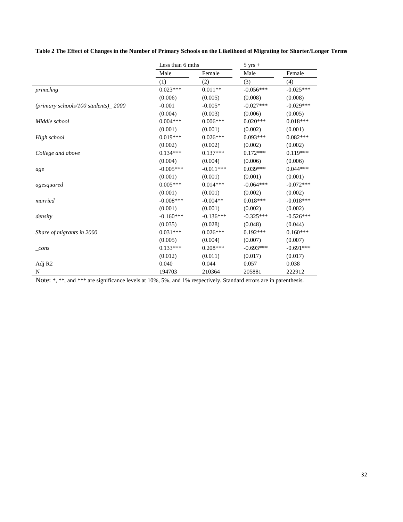<span id="page-31-0"></span>

| Table 2 The Effect of Changes in the Number of Primary Schools on the Likelihood of Migrating for Shorter/Longer Terms |  |  |
|------------------------------------------------------------------------------------------------------------------------|--|--|
|                                                                                                                        |  |  |

|                                           | Less than 6 mths |             | $5 \text{ yrs} +$ |             |
|-------------------------------------------|------------------|-------------|-------------------|-------------|
|                                           | Male             | Female      | Male              | Female      |
|                                           | (1)              | (2)         | (3)               | (4)         |
| primchng                                  | $0.023***$       | $0.011**$   | $-0.056***$       | $-0.025***$ |
|                                           | (0.006)          | (0.005)     | (0.008)           | (0.008)     |
| $(primary\, schools/100\, students)$ 2000 | $-0.001$         | $-0.005*$   | $-0.027***$       | $-0.029***$ |
|                                           | (0.004)          | (0.003)     | (0.006)           | (0.005)     |
| Middle school                             | $0.004***$       | $0.006***$  | $0.020***$        | $0.018***$  |
|                                           | (0.001)          | (0.001)     | (0.002)           | (0.001)     |
| High school                               | $0.019***$       | $0.026***$  | $0.093***$        | $0.082***$  |
|                                           | (0.002)          | (0.002)     | (0.002)           | (0.002)     |
| College and above                         | $0.134***$       | $0.137***$  | $0.172***$        | $0.119***$  |
|                                           | (0.004)          | (0.004)     | (0.006)           | (0.006)     |
| age                                       | $-0.005***$      | $-0.011***$ | $0.039***$        | $0.044***$  |
|                                           | (0.001)          | (0.001)     | (0.001)           | (0.001)     |
| agesquared                                | $0.005***$       | $0.014***$  | $-0.064***$       | $-0.072***$ |
|                                           | (0.001)          | (0.001)     | (0.002)           | (0.002)     |
| married                                   | $-0.008$ ***     | $-0.004**$  | $0.018***$        | $-0.018***$ |
|                                           | (0.001)          | (0.001)     | (0.002)           | (0.002)     |
| density                                   | $-0.160***$      | $-0.136***$ | $-0.325***$       | $-0.526***$ |
|                                           | (0.035)          | (0.028)     | (0.048)           | (0.044)     |
| Share of migrants in 2000                 | $0.031***$       | $0.026***$  | $0.192***$        | $0.160***$  |
|                                           | (0.005)          | (0.004)     | (0.007)           | (0.007)     |
| $_{cons}$                                 | $0.133***$       | $0.208***$  | $-0.693***$       | $-0.691***$ |
|                                           | (0.012)          | (0.011)     | (0.017)           | (0.017)     |
| Adj R <sub>2</sub>                        | 0.040            | 0.044       | 0.057             | 0.038       |
| N                                         | 194703           | 210364      | 205881            | 222912      |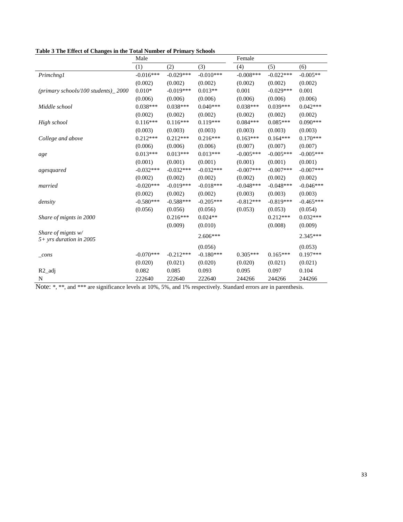|                                           | Male        |             |             | Female       |             |              |  |
|-------------------------------------------|-------------|-------------|-------------|--------------|-------------|--------------|--|
|                                           | (1)         | (2)         | (3)         | (4)          | (5)         | (6)          |  |
| Primchng1                                 | $-0.016***$ | $-0.029***$ | $-0.010***$ | $-0.008$ *** | $-0.022***$ | $-0.005**$   |  |
|                                           | (0.002)     | (0.002)     | (0.002)     | (0.002)      | (0.002)     | (0.002)      |  |
| $(primary\, schools/100\, students)$ 2000 | $0.010*$    | $-0.019***$ | $0.013**$   | 0.001        | $-0.029***$ | 0.001        |  |
|                                           | (0.006)     | (0.006)     | (0.006)     | (0.006)      | (0.006)     | (0.006)      |  |
| Middle school                             | $0.038***$  | $0.038***$  | $0.040***$  | $0.038***$   | $0.039***$  | $0.042***$   |  |
|                                           | (0.002)     | (0.002)     | (0.002)     | (0.002)      | (0.002)     | (0.002)      |  |
| High school                               | $0.116***$  | $0.116***$  | $0.119***$  | $0.084***$   | $0.085***$  | $0.090***$   |  |
|                                           | (0.003)     | (0.003)     | (0.003)     | (0.003)      | (0.003)     | (0.003)      |  |
| College and above                         | $0.212***$  | $0.212***$  | $0.216***$  | $0.163***$   | $0.164***$  | $0.170***$   |  |
|                                           | (0.006)     | (0.006)     | (0.006)     | (0.007)      | (0.007)     | (0.007)      |  |
| age                                       | $0.013***$  | $0.013***$  | $0.013***$  | $-0.005***$  | $-0.005***$ | $-0.005***$  |  |
|                                           | (0.001)     | (0.001)     | (0.001)     | (0.001)      | (0.001)     | (0.001)      |  |
| agesquared                                | $-0.032***$ | $-0.032***$ | $-0.032***$ | $-0.007$ *** | $-0.007***$ | $-0.007$ *** |  |
|                                           | (0.002)     | (0.002)     | (0.002)     | (0.002)      | (0.002)     | (0.002)      |  |
| married                                   | $-0.020***$ | $-0.019***$ | $-0.018***$ | $-0.048***$  | $-0.048***$ | $-0.046***$  |  |
|                                           | (0.002)     | (0.002)     | (0.002)     | (0.003)      | (0.003)     | (0.003)      |  |
| density                                   | $-0.580***$ | $-0.588***$ | $-0.205***$ | $-0.812***$  | $-0.819***$ | $-0.465***$  |  |
|                                           | (0.056)     | (0.056)     | (0.056)     | (0.053)      | (0.053)     | (0.054)      |  |
| Share of mignts in 2000                   |             | $0.216***$  | $0.024**$   |              | $0.212***$  | $0.032***$   |  |
|                                           |             | (0.009)     | (0.010)     |              | (0.008)     | (0.009)      |  |
| Share of mights $w/$                      |             |             | $2.606***$  |              |             | 2.345***     |  |
| $5+$ yrs duration in 2005                 |             |             |             |              |             |              |  |
|                                           |             |             | (0.056)     |              |             | (0.053)      |  |
| $_{cons}$                                 | $-0.070***$ | $-0.212***$ | $-0.180***$ | $0.305***$   | $0.165***$  | $0.197***$   |  |
|                                           | (0.020)     | (0.021)     | (0.020)     | (0.020)      | (0.021)     | (0.021)      |  |
| $R2$ _adj                                 | 0.082       | 0.085       | 0.093       | 0.095        | 0.097       | 0.104        |  |
| N                                         | 222640      | 222640      | 222640      | 244266       | 244266      | 244266       |  |

<span id="page-32-0"></span>**Table 3 The Effect of Changes in the Total Number of Primary Schools**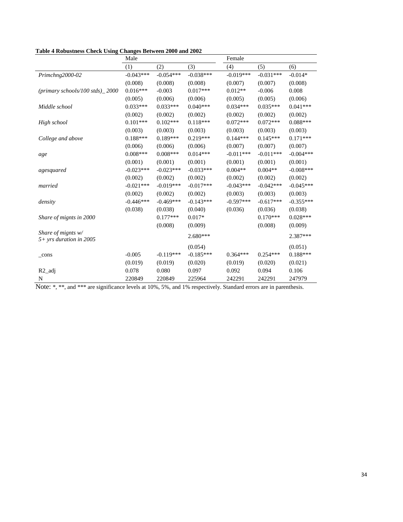<span id="page-33-0"></span>

|                                 | Male        |             |             | Female      |             |             |  |
|---------------------------------|-------------|-------------|-------------|-------------|-------------|-------------|--|
|                                 | (1)         | (2)         | (3)         | (4)         | (5)         | (6)         |  |
| Primchng2000-02                 | $-0.043***$ | $-0.054***$ | $-0.038***$ | $-0.019***$ | $-0.031***$ | $-0.014*$   |  |
|                                 | (0.008)     | (0.008)     | (0.008)     | (0.007)     | (0.007)     | (0.008)     |  |
| (primary schools/100 stds)_2000 | $0.016***$  | $-0.003$    | $0.017***$  | $0.012**$   | $-0.006$    | 0.008       |  |
|                                 | (0.005)     | (0.006)     | (0.006)     | (0.005)     | (0.005)     | (0.006)     |  |
| Middle school                   | $0.033***$  | $0.033***$  | $0.040***$  | $0.034***$  | $0.035***$  | $0.041***$  |  |
|                                 | (0.002)     | (0.002)     | (0.002)     | (0.002)     | (0.002)     | (0.002)     |  |
| High school                     | $0.101***$  | $0.102***$  | $0.118***$  | $0.072***$  | $0.072***$  | $0.088***$  |  |
|                                 | (0.003)     | (0.003)     | (0.003)     | (0.003)     | (0.003)     | (0.003)     |  |
| College and above               | $0.188***$  | $0.189***$  | $0.219***$  | $0.144***$  | $0.145***$  | $0.171***$  |  |
|                                 | (0.006)     | (0.006)     | (0.006)     | (0.007)     | (0.007)     | (0.007)     |  |
| age                             | $0.008***$  | $0.008***$  | $0.014***$  | $-0.011***$ | $-0.011***$ | $-0.004***$ |  |
|                                 | (0.001)     | (0.001)     | (0.001)     | (0.001)     | (0.001)     | (0.001)     |  |
| agesquared                      | $-0.023***$ | $-0.023***$ | $-0.033***$ | $0.004**$   | $0.004**$   | $-0.008***$ |  |
|                                 | (0.002)     | (0.002)     | (0.002)     | (0.002)     | (0.002)     | (0.002)     |  |
| married                         | $-0.021***$ | $-0.019***$ | $-0.017***$ | $-0.043***$ | $-0.042***$ | $-0.045***$ |  |
|                                 | (0.002)     | (0.002)     | (0.002)     | (0.003)     | (0.003)     | (0.003)     |  |
| density                         | $-0.446***$ | $-0.469***$ | $-0.143***$ | $-0.597***$ | $-0.617***$ | $-0.355***$ |  |
|                                 | (0.038)     | (0.038)     | (0.040)     | (0.036)     | (0.036)     | (0.038)     |  |
| Share of mignts in 2000         |             | $0.177***$  | $0.017*$    |             | $0.170***$  | $0.028***$  |  |
|                                 |             | (0.008)     | (0.009)     |             | (0.008)     | (0.009)     |  |
| Share of mignts $w/$            |             |             | $2.680***$  |             |             | 2.387***    |  |
| $5+$ yrs duration in 2005       |             |             |             |             |             |             |  |
|                                 |             |             | (0.054)     |             |             | (0.051)     |  |
| $_{\rm cons}$                   | $-0.005$    | $-0.119***$ | $-0.185***$ | $0.364***$  | $0.254***$  | $0.188***$  |  |
|                                 | (0.019)     | (0.019)     | (0.020)     | (0.019)     | (0.020)     | (0.021)     |  |
| $R2$ _adj                       | 0.078       | 0.080       | 0.097       | 0.092       | 0.094       | 0.106       |  |
| N                               | 220849      | 220849      | 225964      | 242291      | 242291      | 247979      |  |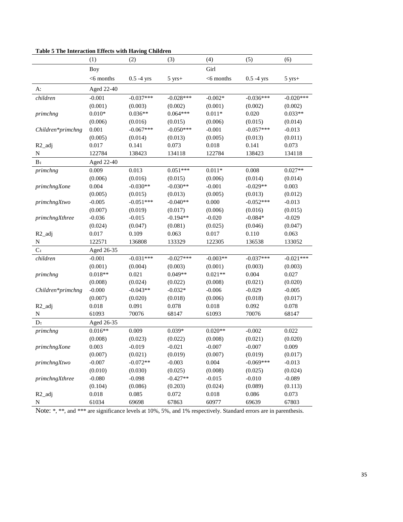|                    | The interaction Enects with the ving<br>(1) | <b>Comment</b><br>(2) | (3)              | (4)          | (5)           | (6)              |
|--------------------|---------------------------------------------|-----------------------|------------------|--------------|---------------|------------------|
|                    | Boy                                         |                       |                  | Girl         |               |                  |
|                    | $<$ 6 months                                | $0.5 - 4$ yrs         | $5 \text{ yrs}+$ | $<$ 6 months | $0.5 - 4$ yrs | $5 \text{ yrs}+$ |
| A:                 | Aged 22-40                                  |                       |                  |              |               |                  |
| children           | $-0.001$                                    | $-0.037***$           | $-0.028***$      | $-0.002*$    | $-0.036***$   | $-0.020***$      |
|                    | (0.001)                                     | (0.003)               | (0.002)          | (0.001)      | (0.002)       | (0.002)          |
| primchng           | $0.010*$                                    | $0.036**$             | $0.064***$       | $0.011*$     | 0.020         | $0.033**$        |
|                    | (0.006)                                     | (0.016)               | (0.015)          | (0.006)      | (0.015)       | (0.014)          |
| Children*primchng  | 0.001                                       | $-0.067***$           | $-0.050***$      | $-0.001$     | $-0.057***$   | $-0.013$         |
|                    | (0.005)                                     | (0.014)               | (0.013)          | (0.005)      | (0.013)       | (0.011)          |
| R <sub>2_adj</sub> | 0.017                                       | 0.141                 | 0.073            | 0.018        | 0.141         | 0.073            |
| ${\bf N}$          | 122784                                      | 138423                | 134118           | 122784       | 138423        | 134118           |
| B:                 | Aged 22-40                                  |                       |                  |              |               |                  |
| primchng           | 0.009                                       | 0.013                 | $0.051***$       | $0.011*$     | 0.008         | $0.027**$        |
|                    | (0.006)                                     | (0.016)               | (0.015)          | (0.006)      | (0.014)       | (0.014)          |
| primchngXone       | 0.004                                       | $-0.030**$            | $-0.030**$       | $-0.001$     | $-0.029**$    | 0.003            |
|                    | (0.005)                                     | (0.015)               | (0.013)          | (0.005)      | (0.013)       | (0.012)          |
| primchngXtwo       | $-0.005$                                    | $-0.051***$           | $-0.040**$       | 0.000        | $-0.052***$   | $-0.013$         |
|                    | (0.007)                                     | (0.019)               | (0.017)          | (0.006)      | (0.016)       | (0.015)          |
| primchngXthree     | $-0.036$                                    | $-0.015$              | $-0.194**$       | $-0.020$     | $-0.084*$     | $-0.029$         |
|                    | (0.024)                                     | (0.047)               | (0.081)          | (0.025)      | (0.046)       | (0.047)          |
| R <sub>2_adj</sub> | 0.017                                       | 0.109                 | 0.063            | 0.017        | 0.110         | 0.063            |
| ${\bf N}$          | 122571                                      | 136808                | 133329           | 122305       | 136538        | 133052           |
| C:                 | Aged 26-35                                  |                       |                  |              |               |                  |
| children           | $-0.001$                                    | $-0.031***$           | $-0.027***$      | $-0.003**$   | $-0.037***$   | $-0.021***$      |
|                    | (0.001)                                     | (0.004)               | (0.003)          | (0.001)      | (0.003)       | (0.003)          |
| primchng           | $0.018**$                                   | 0.021                 | $0.049**$        | $0.021**$    | 0.004         | 0.027            |
|                    | (0.008)                                     | (0.024)               | (0.022)          | (0.008)      | (0.021)       | (0.020)          |
| Children*primchng  | $-0.000$                                    | $-0.043**$            | $-0.032*$        | $-0.006$     | $-0.029$      | $-0.005$         |
|                    | (0.007)                                     | (0.020)               | (0.018)          | (0.006)      | (0.018)       | (0.017)          |
| R <sub>2_adj</sub> | 0.018                                       | 0.091                 | 0.078            | 0.018        | 0.092         | 0.078            |
| ${\bf N}$          | 61093                                       | 70076                 | 68147            | 61093        | 70076         | 68147            |
| D:                 | Aged 26-35                                  |                       |                  |              |               |                  |
| primchng           | $0.016**$                                   | 0.009                 | $0.039*$         | $0.020**$    | $-0.002$      | 0.022            |
|                    | (0.008)                                     | (0.023)               | (0.022)          | (0.008)      | (0.021)       | (0.020)          |
| primchngXone       | 0.003                                       | $-0.019$              | $-0.021$         | $-0.007$     | $-0.007$      | 0.009            |
|                    | (0.007)                                     | (0.021)               | (0.019)          | (0.007)      | (0.019)       | (0.017)          |
| $primchngX two$    | $-0.007$                                    | $-0.072**$            | $-0.003$         | 0.004        | $-0.069***$   | $-0.013$         |
|                    | (0.010)                                     | (0.030)               | (0.025)          | (0.008)      | (0.025)       | (0.024)          |
| primchngXthree     | $-0.080$                                    | $-0.098$              | $-0.427**$       | $-0.015$     | $-0.010$      | $-0.089$         |
|                    | (0.104)                                     | (0.086)               | (0.203)          | (0.024)      | (0.089)       | (0.113)          |
| $R2$ _adj          | 0.018                                       | 0.085                 | 0.072            | 0.018        | 0.086         | 0.073            |
| ${\bf N}$          | 61034                                       | 69698                 | 67863            | 60977        | 69639         | 67803            |

#### <span id="page-34-0"></span>**Table 5 The Interaction Effects with Having Children**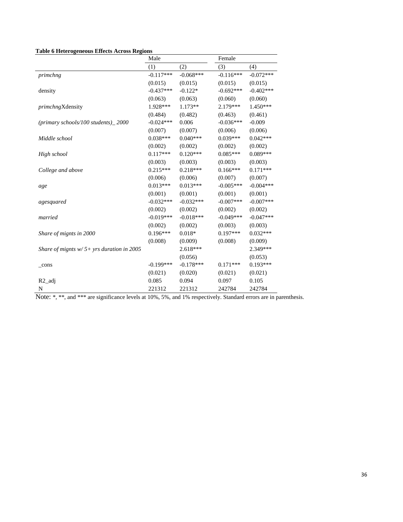#### <span id="page-35-0"></span>**Table 6 Heterogeneous Effects Across Regions**

|                                              | Male        |             | Female      |             |
|----------------------------------------------|-------------|-------------|-------------|-------------|
|                                              | (1)         | (2)         | (3)         | (4)         |
| primchng                                     | $-0.117***$ | $-0.068***$ | $-0.116***$ | $-0.072***$ |
|                                              | (0.015)     | (0.015)     | (0.015)     | (0.015)     |
| density                                      | $-0.437***$ | $-0.122*$   | $-0.692***$ | $-0.402***$ |
|                                              | (0.063)     | (0.063)     | (0.060)     | (0.060)     |
| primchngXdensity                             | 1.928***    | $1.173**$   | 2.179***    | $1.450***$  |
|                                              | (0.484)     | (0.482)     | (0.463)     | (0.461)     |
| (primary schools/100 students)_2000          | $-0.024***$ | 0.006       | $-0.036***$ | $-0.009$    |
|                                              | (0.007)     | (0.007)     | (0.006)     | (0.006)     |
| Middle school                                | $0.038***$  | $0.040***$  | $0.039***$  | $0.042***$  |
|                                              | (0.002)     | (0.002)     | (0.002)     | (0.002)     |
| High school                                  | $0.117***$  | $0.120***$  | $0.085***$  | $0.089***$  |
|                                              | (0.003)     | (0.003)     | (0.003)     | (0.003)     |
| College and above                            | $0.215***$  | $0.218***$  | $0.166***$  | $0.171***$  |
|                                              | (0.006)     | (0.006)     | (0.007)     | (0.007)     |
| age                                          | $0.013***$  | $0.013***$  | $-0.005***$ | $-0.004***$ |
|                                              | (0.001)     | (0.001)     | (0.001)     | (0.001)     |
| agesquared                                   | $-0.032***$ | $-0.032***$ | $-0.007***$ | $-0.007***$ |
|                                              | (0.002)     | (0.002)     | (0.002)     | (0.002)     |
| married                                      | $-0.019***$ | $-0.018***$ | $-0.049***$ | $-0.047***$ |
|                                              | (0.002)     | (0.002)     | (0.003)     | (0.003)     |
| Share of mignts in 2000                      | $0.196***$  | $0.018*$    | $0.197***$  | $0.032***$  |
|                                              | (0.008)     | (0.009)     | (0.008)     | (0.009)     |
| Share of mignts $w/5$ + yrs duration in 2005 |             | $2.618***$  |             | 2.349***    |
|                                              |             | (0.056)     |             | (0.053)     |
| $_{\rm cons}$                                | $-0.199***$ | $-0.178***$ | $0.171***$  | $0.193***$  |
|                                              | (0.021)     | (0.020)     | (0.021)     | (0.021)     |
| $R2$ _adj                                    | 0.085       | 0.094       | 0.097       | 0.105       |
| N                                            | 221312      | 221312      | 242784      | 242784      |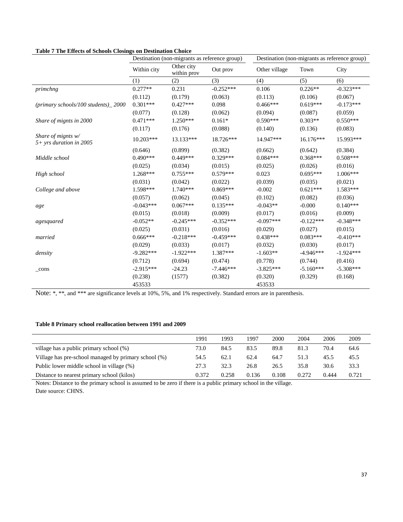<span id="page-36-1"></span>

| Table / The Effects of Schools Closings on Destination Choice |             | Destination (non-migrants as reference group) |             | Destination (non-migrants as reference group) |             |             |  |
|---------------------------------------------------------------|-------------|-----------------------------------------------|-------------|-----------------------------------------------|-------------|-------------|--|
|                                                               | Within city | Other city<br>within prov                     | Out prov    | Other village                                 | Town        | City        |  |
|                                                               | (1)         | (2)                                           | (3)         | (4)                                           | (5)         | (6)         |  |
| primchng                                                      | $0.277**$   | 0.231                                         | $-0.252***$ | 0.106                                         | $0.226**$   | $-0.323***$ |  |
|                                                               | (0.112)     | (0.179)                                       | (0.063)     | (0.113)                                       | (0.106)     | (0.067)     |  |
| (primary schools/100 students)_2000                           | $0.301***$  | $0.427***$                                    | 0.098       | $0.466***$                                    | $0.619***$  | $-0.173***$ |  |
|                                                               | (0.077)     | (0.128)                                       | (0.062)     | (0.094)                                       | (0.087)     | (0.059)     |  |
| Share of mignts in 2000                                       | $0.471***$  | $1.250***$                                    | $0.161*$    | $0.590***$                                    | $0.303**$   | $0.550***$  |  |
|                                                               | (0.117)     | (0.176)                                       | (0.088)     | (0.140)                                       | (0.136)     | (0.083)     |  |
| Share of mignts $w/$<br>5+ yrs duration in 2005               | $10.203***$ | 13.133***                                     | 18.726***   | 14.947***                                     | 16.176***   | 15.993***   |  |
|                                                               | (0.646)     | (0.899)                                       | (0.382)     | (0.662)                                       | (0.642)     | (0.384)     |  |
| Middle school                                                 | $0.490***$  | $0.449***$                                    | $0.329***$  | $0.084***$                                    | $0.368***$  | $0.508***$  |  |
|                                                               | (0.025)     | (0.034)                                       | (0.015)     | (0.025)                                       | (0.026)     | (0.016)     |  |
| High school                                                   | 1.268***    | $0.755***$                                    | $0.579***$  | 0.023                                         | $0.695***$  | 1.006***    |  |
|                                                               | (0.031)     | (0.042)                                       | (0.022)     | (0.039)                                       | (0.035)     | (0.021)     |  |
| College and above                                             | 1.598***    | $1.740***$                                    | $0.869***$  | $-0.002$                                      | $0.621***$  | 1.583***    |  |
|                                                               | (0.057)     | (0.062)                                       | (0.045)     | (0.102)                                       | (0.082)     | (0.036)     |  |
| age                                                           | $-0.043***$ | $0.067***$                                    | $0.135***$  | $-0.043**$                                    | $-0.000$    | $0.140***$  |  |
|                                                               | (0.015)     | (0.018)                                       | (0.009)     | (0.017)                                       | (0.016)     | (0.009)     |  |
| agesquared                                                    | $-0.052**$  | $-0.245***$                                   | $-0.352***$ | $-0.097***$                                   | $-0.122***$ | $-0.348***$ |  |
|                                                               | (0.025)     | (0.031)                                       | (0.016)     | (0.029)                                       | (0.027)     | (0.015)     |  |
| married                                                       | $0.666***$  | $-0.218***$                                   | $-0.459***$ | $0.438***$                                    | $0.083***$  | $-0.410***$ |  |
|                                                               | (0.029)     | (0.033)                                       | (0.017)     | (0.032)                                       | (0.030)     | (0.017)     |  |
| density                                                       | $-9.282***$ | $-1.922***$                                   | 1.387***    | $-1.603**$                                    | $-4.946***$ | $-1.924***$ |  |
|                                                               | (0.712)     | (0.694)                                       | (0.474)     | (0.778)                                       | (0.744)     | (0.416)     |  |
| _cons                                                         | $-2.915***$ | $-24.23$                                      | $-7.446***$ | $-3.825***$                                   | $-5.160***$ | $-5.308***$ |  |
|                                                               | (0.238)     | (1577)                                        | (0.382)     | (0.320)                                       | (0.329)     | (0.168)     |  |
|                                                               | 453533      |                                               |             | 453533                                        |             |             |  |

#### <span id="page-36-0"></span>**Table 8 Primary school reallocation between 1991 and 2009**

|                                                      | 1991  | 1993  | 1997  | 2000  | 2004  | 2006  | 2009  |
|------------------------------------------------------|-------|-------|-------|-------|-------|-------|-------|
| village has a public primary school (%)              | 73.0  | 84.5  | 83.5  | 89.8  | 81.3  | 70.4  | 64.6  |
| Village has pre-school managed by primary school (%) | 54.5  | 62.1  | 62.4  | 64.7  | 51.3  | 45.5  | 45.5  |
| Public lower middle school in village (%)            | 27.3  | 32.3  | 26.8  | 26.5  | 35.8  | 30.6  | 33.3  |
| Distance to nearest primary school (kilos)           | 0.372 | 0.258 | 0.136 | 0.108 | 0.272 | 0.444 | 0.721 |

Notes: Distance to the primary school is assumed to be zero if there is a public primary school in the village. Date source: CHNS.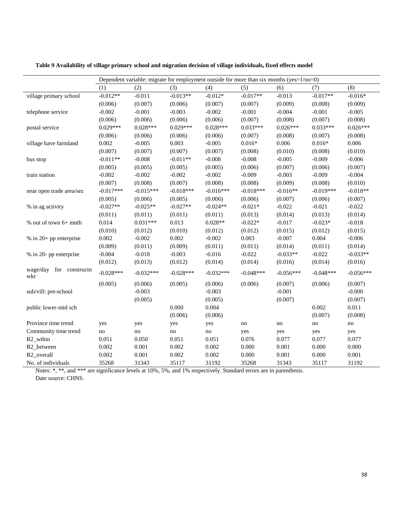|                                   | Dependent variable: migrate for employment outside for more than six months (yes=1/no=0) |             |             |                        |             |             |             |             |
|-----------------------------------|------------------------------------------------------------------------------------------|-------------|-------------|------------------------|-------------|-------------|-------------|-------------|
|                                   | (1)                                                                                      | (2)         | (3)         | (4)                    | (5)         | (6)         | (7)         | (8)         |
| village primary school            | $-0.012**$                                                                               | $-0.011$    | $-0.013**$  | $-0.012*$              | $-0.017**$  | $-0.013$    | $-0.017**$  | $-0.016*$   |
|                                   | (0.006)                                                                                  | (0.007)     | (0.006)     | (0.007)                | (0.007)     | (0.009)     | (0.008)     | (0.009)     |
| telephone service                 | $-0.002$                                                                                 | $-0.001$    | $-0.003$    | $-0.002$               | $-0.001$    | $-0.004$    | $-0.001$    | $-0.005$    |
|                                   | (0.006)                                                                                  | (0.006)     | (0.006)     | (0.006)                | (0.007)     | (0.008)     | (0.007)     | (0.008)     |
| postal service                    | $0.029***$                                                                               | $0.028***$  | $0.029***$  | $0.028***$             | $0.033***$  | $0.026***$  | $0.033***$  | $0.026***$  |
|                                   | (0.006)                                                                                  | (0.006)     | (0.006)     | (0.006)                | (0.007)     | (0.008)     | (0.007)     | (0.008)     |
| village have farmland             | 0.002                                                                                    | $-0.005$    | 0.003       | $-0.005$               | $0.016*$    | 0.006       | $0.016*$    | 0.006       |
|                                   | (0.007)                                                                                  | (0.007)     | (0.007)     | (0.007)                | (0.008)     | (0.010)     | (0.008)     | (0.010)     |
| bus stop                          | $-0.011**$                                                                               | $-0.008$    | $-0.011**$  | $-0.008$               | $-0.008$    | $-0.005$    | $-0.009$    | $-0.006$    |
|                                   | (0.005)                                                                                  | (0.005)     | (0.005)     | (0.005)                | (0.006)     | (0.007)     | (0.006)     | (0.007)     |
| train station                     | $-0.002$                                                                                 | $-0.002$    | $-0.002$    | $-0.002$               | $-0.009$    | $-0.003$    | $-0.009$    | $-0.004$    |
|                                   | (0.007)                                                                                  | (0.008)     | (0.007)     | (0.008)                | (0.008)     | (0.009)     | (0.008)     | (0.010)     |
| near open trade area/sez          | $-0.017***$                                                                              | $-0.015***$ | $-0.018***$ | $-0.016***$            | $-0.018***$ | $-0.016**$  | $-0.019***$ | $-0.018**$  |
|                                   | (0.005)                                                                                  | (0.006)     | (0.005)     | (0.006)                | (0.006)     | (0.007)     | (0.006)     | (0.007)     |
| % in ag activity                  | $-0.027**$                                                                               | $-0.025**$  | $-0.027**$  | $-0.024**$             | $-0.021*$   | $-0.022$    | $-0.021$    | $-0.022$    |
|                                   | (0.011)                                                                                  | (0.011)     | (0.011)     | (0.011)                | (0.013)     | (0.014)     | (0.013)     | (0.014)     |
| % out of town 6+ mnth             | 0.014                                                                                    | $0.031***$  | 0.013       | $0.028**$              | $-0.022*$   | $-0.017$    | $-0.023*$   | $-0.018$    |
|                                   | (0.010)                                                                                  | (0.012)     | (0.010)     | (0.012)                | (0.012)     | (0.015)     | (0.012)     | (0.015)     |
| $%$ in 20+ pp enterprise          | 0.002                                                                                    | $-0.002$    | 0.002       | $-0.002$               | 0.003       | $-0.007$    | 0.004       | $-0.006$    |
|                                   | (0.009)                                                                                  | (0.011)     | (0.009)     | (0.011)                | (0.011)     | (0.014)     | (0.011)     | (0.014)     |
| % in 20- pp enterprise            | $-0.004$                                                                                 | $-0.018$    | $-0.003$    | $-0.016$               | $-0.022$    | $-0.033**$  | $-0.022$    | $-0.033**$  |
|                                   | (0.012)                                                                                  | (0.013)     | (0.012)     | (0.014)                | (0.014)     | (0.016)     | (0.014)     | (0.016)     |
| wage/day<br>for constructn<br>wkr | $-0.028***$                                                                              | $-0.032***$ | $-0.028***$ | $-0.032***$            | $-0.048***$ | $-0.056***$ | $-0.048***$ | $-0.056***$ |
|                                   | (0.005)                                                                                  | (0.006)     | (0.005)     | (0.006)                | (0.006)     | (0.007)     | (0.006)     | (0.007)     |
| sub/vill: pre-school              |                                                                                          | $-0.003$    |             | $-0.003$               |             | $-0.001$    |             | $-0.000$    |
|                                   |                                                                                          | (0.005)     |             | (0.005)                |             | (0.007)     |             | (0.007)     |
| public lower-mid sch              |                                                                                          |             | 0.000       | 0.004                  |             |             | 0.002       | 0.011       |
|                                   |                                                                                          |             | (0.006)     | (0.006)                |             |             | (0.007)     | (0.008)     |
| Province time trend               | yes                                                                                      | yes         | yes         | yes                    | no          | no          | no          | $\rm no$    |
| Community time trend              | no                                                                                       | $\rm no$    | no          | $\mathop{\mathrm{no}}$ | yes         | yes         | yes         | yes         |
| R <sub>2_wthin</sub>              | 0.051                                                                                    | 0.050       | 0.051       | 0.051                  | 0.076       | 0.077       | 0.077       | 0.077       |
| R2_between                        | 0.002                                                                                    | 0.001       | 0.002       | 0.002                  | 0.000       | 0.001       | 0.000       | $0.000\,$   |
| R <sub>2_overall</sub>            | 0.002                                                                                    | 0.001       | 0.002       | 0.002                  | 0.000       | 0.001       | 0.000       | 0.001       |
| No. of individuals                | 35268                                                                                    | 31343       | 35117       | 31192                  | 35268       | 31343       | 35117       | 31192       |

<span id="page-37-0"></span>**Table 9 Availability of village primary school and migration decision of village individuals, fixed effects model**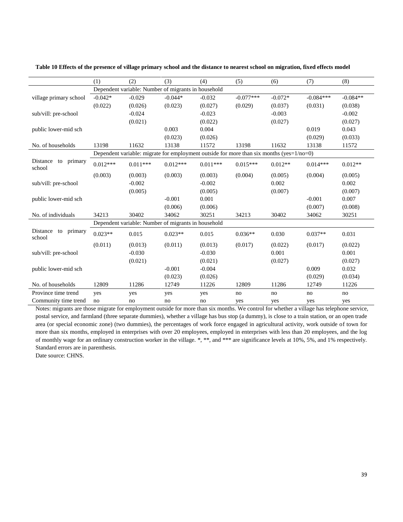|                                     | (1)                                                 | (2)        | (3)        | (4)                                                                                      | (5)         | (6)       | (7)         | (8)        |  |  |
|-------------------------------------|-----------------------------------------------------|------------|------------|------------------------------------------------------------------------------------------|-------------|-----------|-------------|------------|--|--|
|                                     | Dependent variable: Number of migrants in household |            |            |                                                                                          |             |           |             |            |  |  |
| village primary school              | $-0.042*$                                           | $-0.029$   | $-0.044*$  | $-0.032$                                                                                 | $-0.077***$ | $-0.072*$ | $-0.084***$ | $-0.084**$ |  |  |
|                                     | (0.022)                                             | (0.026)    | (0.023)    | (0.027)                                                                                  | (0.029)     | (0.037)   | (0.031)     | (0.038)    |  |  |
| sub/vill: pre-school                |                                                     | $-0.024$   |            | $-0.023$                                                                                 |             | $-0.003$  |             | $-0.002$   |  |  |
|                                     |                                                     | (0.021)    |            | (0.022)                                                                                  |             | (0.027)   |             | (0.027)    |  |  |
| public lower-mid sch                |                                                     |            | 0.003      | 0.004                                                                                    |             |           | 0.019       | 0.043      |  |  |
|                                     |                                                     |            | (0.023)    | (0.026)                                                                                  |             |           | (0.029)     | (0.033)    |  |  |
| No. of households                   | 13198                                               | 11632      | 13138      | 11572                                                                                    | 13198       | 11632     | 13138       | 11572      |  |  |
|                                     |                                                     |            |            | Dependent variable: migrate for employment outside for more than six months (yes=1/no=0) |             |           |             |            |  |  |
| Distance<br>primary<br>to<br>school | $0.012***$                                          | $0.011***$ | $0.012***$ | $0.011***$                                                                               | $0.015***$  | $0.012**$ | $0.014***$  | $0.012**$  |  |  |
|                                     | (0.003)                                             | (0.003)    | (0.003)    | (0.003)                                                                                  | (0.004)     | (0.005)   | (0.004)     | (0.005)    |  |  |
| sub/vill: pre-school                |                                                     | $-0.002$   |            | $-0.002$                                                                                 |             | 0.002     |             | 0.002      |  |  |
|                                     |                                                     | (0.005)    |            | (0.005)                                                                                  |             | (0.007)   |             | (0.007)    |  |  |
| public lower-mid sch                |                                                     |            | $-0.001$   | 0.001                                                                                    |             |           | $-0.001$    | 0.007      |  |  |
|                                     |                                                     |            | (0.006)    | (0.006)                                                                                  |             |           | (0.007)     | (0.008)    |  |  |
| No. of individuals                  | 34213                                               | 30402      | 34062      | 30251                                                                                    | 34213       | 30402     | 34062       | 30251      |  |  |
|                                     | Dependent variable: Number of migrants in household |            |            |                                                                                          |             |           |             |            |  |  |
| Distance<br>primary<br>to<br>school | $0.023**$                                           | 0.015      | $0.023**$  | 0.015                                                                                    | $0.036**$   | 0.030     | $0.037**$   | 0.031      |  |  |
|                                     | (0.011)                                             | (0.013)    | (0.011)    | (0.013)                                                                                  | (0.017)     | (0.022)   | (0.017)     | (0.022)    |  |  |
| sub/vill: pre-school                |                                                     | $-0.030$   |            | $-0.030$                                                                                 |             | 0.001     |             | 0.001      |  |  |
|                                     |                                                     | (0.021)    |            | (0.021)                                                                                  |             | (0.027)   |             | (0.027)    |  |  |
| public lower-mid sch                |                                                     |            | $-0.001$   | $-0.004$                                                                                 |             |           | 0.009       | 0.032      |  |  |
|                                     |                                                     |            | (0.023)    | (0.026)                                                                                  |             |           | (0.029)     | (0.034)    |  |  |
| No. of households                   | 12809                                               | 11286      | 12749      | 11226                                                                                    | 12809       | 11286     | 12749       | 11226      |  |  |
| Province time trend                 | yes                                                 | yes        | yes        | yes                                                                                      | no          | no        | no          | no         |  |  |
| Community time trend                | no                                                  | no         | no         | no                                                                                       | yes         | yes       | yes         | yes        |  |  |

<span id="page-38-0"></span>**Table 10 Effects of the presence of village primary school and the distance to nearest school on migration, fixed effects model**

Notes: migrants are those migrate for employment outside for more than six months. We control for whether a village has telephone service, postal service, and farmland (three separate dummies), whether a village has bus stop (a dummy), is close to a train station, or an open trade area (or special economic zone) (two dummies), the percentages of work force engaged in agricultural activity, work outside of town for more than six months, employed in enterprises with over 20 employees, employed in enterprises with less than 20 employees, and the log of monthly wage for an ordinary construction worker in the village. \*, \*\*, and \*\*\* are significance levels at 10%, 5%, and 1% respectively. Standard errors are in parenthesis.

Date source: CHNS.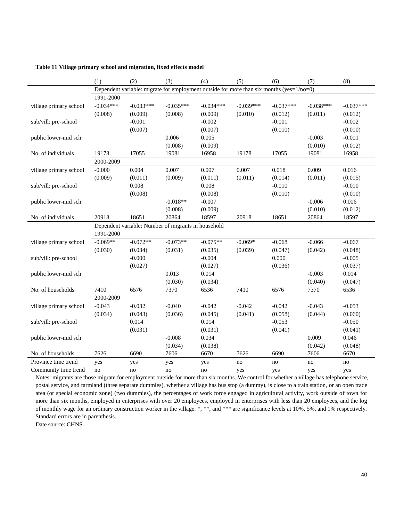<span id="page-39-0"></span>**Table 11 Village primary school and migration, fixed effects model**

|                        | (1)                                                                                      | (2)         | (3)         | (4)         | (5)         | (6)         | (7)         | (8)         |  |  |
|------------------------|------------------------------------------------------------------------------------------|-------------|-------------|-------------|-------------|-------------|-------------|-------------|--|--|
|                        | Dependent variable: migrate for employment outside for more than six months (yes=1/no=0) |             |             |             |             |             |             |             |  |  |
|                        | 1991-2000                                                                                |             |             |             |             |             |             |             |  |  |
| village primary school | $-0.034***$                                                                              | $-0.033***$ | $-0.035***$ | $-0.034***$ | $-0.039***$ | $-0.037***$ | $-0.038***$ | $-0.037***$ |  |  |
|                        | (0.008)                                                                                  | (0.009)     | (0.008)     | (0.009)     | (0.010)     | (0.012)     | (0.011)     | (0.012)     |  |  |
| sub/vill: pre-school   |                                                                                          | $-0.001$    |             | $-0.002$    |             | $-0.001$    |             | $-0.002$    |  |  |
|                        |                                                                                          | (0.007)     |             | (0.007)     |             | (0.010)     |             | (0.010)     |  |  |
| public lower-mid sch   |                                                                                          |             | 0.006       | 0.005       |             |             | $-0.003$    | $-0.001$    |  |  |
|                        |                                                                                          |             | (0.008)     | (0.009)     |             |             | (0.010)     | (0.012)     |  |  |
| No. of individuals     | 19178                                                                                    | 17055       | 19081       | 16958       | 19178       | 17055       | 19081       | 16958       |  |  |
|                        | 2000-2009                                                                                |             |             |             |             |             |             |             |  |  |
| village primary school | $-0.000$                                                                                 | 0.004       | 0.007       | 0.007       | 0.007       | 0.018       | 0.009       | 0.016       |  |  |
|                        | (0.009)                                                                                  | (0.011)     | (0.009)     | (0.011)     | (0.011)     | (0.014)     | (0.011)     | (0.015)     |  |  |
| sub/vill: pre-school   |                                                                                          | 0.008       |             | 0.008       |             | $-0.010$    |             | $-0.010$    |  |  |
|                        |                                                                                          | (0.008)     |             | (0.008)     |             | (0.010)     |             | (0.010)     |  |  |
| public lower-mid sch   |                                                                                          |             | $-0.018**$  | $-0.007$    |             |             | $-0.006$    | 0.006       |  |  |
|                        |                                                                                          |             | (0.008)     | (0.009)     |             |             | (0.010)     | (0.012)     |  |  |
| No. of individuals     | 20918                                                                                    | 18651       | 20864       | 18597       | 20918       | 18651       | 20864       | 18597       |  |  |
|                        | Dependent variable: Number of migrants in household                                      |             |             |             |             |             |             |             |  |  |
|                        | 1991-2000                                                                                |             |             |             |             |             |             |             |  |  |
| village primary school | $-0.069**$                                                                               | $-0.072**$  | $-0.073**$  | $-0.075**$  | $-0.069*$   | $-0.068$    | $-0.066$    | $-0.067$    |  |  |
|                        | (0.030)                                                                                  | (0.034)     | (0.031)     | (0.035)     | (0.039)     | (0.047)     | (0.042)     | (0.048)     |  |  |
| sub/vill: pre-school   |                                                                                          | $-0.000$    |             | $-0.004$    |             | 0.000       |             | $-0.005$    |  |  |
|                        |                                                                                          | (0.027)     |             | (0.027)     |             | (0.036)     |             | (0.037)     |  |  |
| public lower-mid sch   |                                                                                          |             | 0.013       | 0.014       |             |             | $-0.003$    | 0.014       |  |  |
|                        |                                                                                          |             | (0.030)     | (0.034)     |             |             | (0.040)     | (0.047)     |  |  |
| No. of households      | 7410                                                                                     | 6576        | 7370        | 6536        | 7410        | 6576        | 7370        | 6536        |  |  |
|                        | 2000-2009                                                                                |             |             |             |             |             |             |             |  |  |
| village primary school | $-0.043$                                                                                 | $-0.032$    | $-0.040$    | $-0.042$    | $-0.042$    | $-0.042$    | $-0.043$    | $-0.053$    |  |  |
|                        | (0.034)                                                                                  | (0.043)     | (0.036)     | (0.045)     | (0.041)     | (0.058)     | (0.044)     | (0.060)     |  |  |
| sub/vill: pre-school   |                                                                                          | 0.014       |             | 0.014       |             | $-0.053$    |             | $-0.050$    |  |  |
|                        |                                                                                          | (0.031)     |             | (0.031)     |             | (0.041)     |             | (0.041)     |  |  |
| public lower-mid sch   |                                                                                          |             | $-0.008$    | 0.034       |             |             | 0.009       | 0.046       |  |  |
|                        |                                                                                          |             | (0.034)     | (0.038)     |             |             | (0.042)     | (0.048)     |  |  |
| No. of households      | 7626                                                                                     | 6690        | 7606        | 6670        | 7626        | 6690        | 7606        | 6670        |  |  |
| Province time trend    | yes                                                                                      | yes         | yes         | yes         | no          | no          | no          | no          |  |  |
| Community time trend   | no                                                                                       | no          | no          | no          | yes         | yes         | yes         | yes         |  |  |

Notes: migrants are those migrate for employment outside for more than six months. We control for whether a village has telephone service, postal service, and farmland (three separate dummies), whether a village has bus stop (a dummy), is close to a train station, or an open trade area (or special economic zone) (two dummies), the percentages of work force engaged in agricultural activity, work outside of town for more than six months, employed in enterprises with over 20 employees, employed in enterprises with less than 20 employees, and the log of monthly wage for an ordinary construction worker in the village. \*, \*\*, and \*\*\* are significance levels at 10%, 5%, and 1% respectively. Standard errors are in parenthesis.

Date source: CHNS.